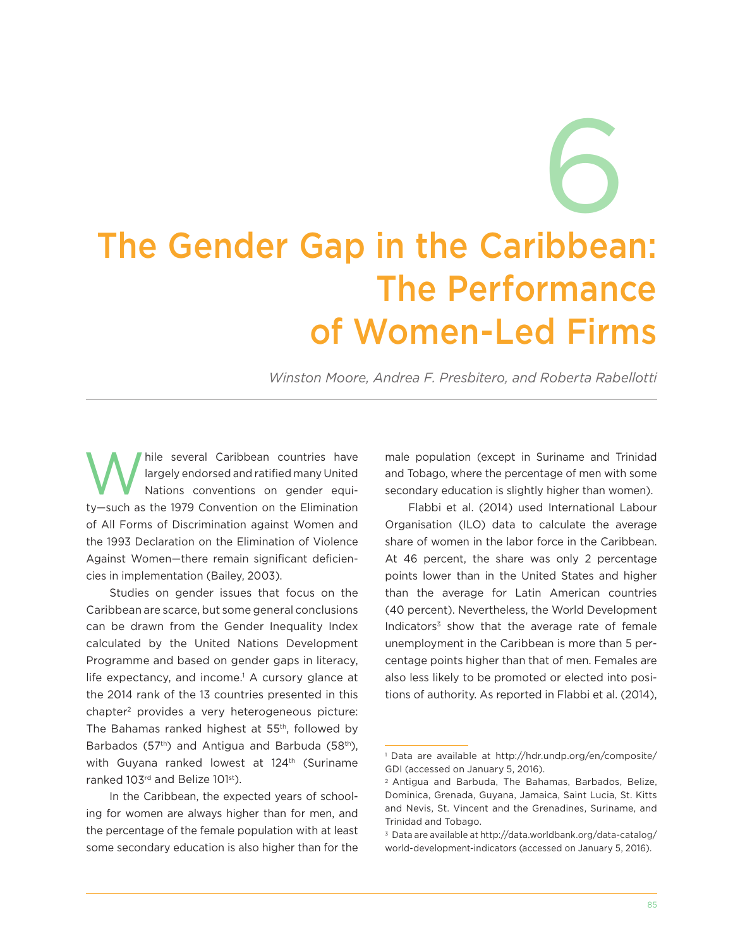# 6 The Gender Gap in the Caribbean: The Performance of Women-Led Firms

*Winston Moore, Andrea F. Presbitero, and Roberta Rabellotti*

hile several Caribbean countries have<br>largely endorsed and ratified many United<br>Nations conventions on gender equilargely endorsed and ratified many United Nations conventions on gender equity—such as the 1979 Convention on the Elimination of All Forms of Discrimination against Women and the 1993 Declaration on the Elimination of Violence Against Women—there remain significant deficiencies in implementation (Bailey, 2003).

Studies on gender issues that focus on the Caribbean are scarce, but some general conclusions can be drawn from the Gender Inequality Index calculated by the United Nations Development Programme and based on gender gaps in literacy, life expectancy, and income.<sup>1</sup> A cursory glance at the 2014 rank of the 13 countries presented in this chapter2 provides a very heterogeneous picture: The Bahamas ranked highest at 55th, followed by Barbados (57<sup>th</sup>) and Antigua and Barbuda (58<sup>th</sup>), with Guyana ranked lowest at 124<sup>th</sup> (Suriname ranked 103<sup>rd</sup> and Belize 101<sup>st</sup>).

In the Caribbean, the expected years of schooling for women are always higher than for men, and the percentage of the female population with at least some secondary education is also higher than for the male population (except in Suriname and Trinidad and Tobago, where the percentage of men with some secondary education is slightly higher than women).

Flabbi et al. (2014) used International Labour Organisation (ILO) data to calculate the average share of women in the labor force in the Caribbean. At 46 percent, the share was only 2 percentage points lower than in the United States and higher than the average for Latin American countries (40 percent). Nevertheless, the World Development Indicators<sup>3</sup> show that the average rate of female unemployment in the Caribbean is more than 5 percentage points higher than that of men. Females are also less likely to be promoted or elected into positions of authority. As reported in Flabbi et al. (2014),

<sup>1</sup> Data are available at [http://hdr.undp.org/en/composite/](http://hdr.undp.org/en/composite/GDI) [GDI](http://hdr.undp.org/en/composite/GDI) (accessed on January 5, 2016).

<sup>2</sup> Antigua and Barbuda, The Bahamas, Barbados, Belize, Dominica, Grenada, Guyana, Jamaica, Saint Lucia, St. Kitts and Nevis, St. Vincent and the Grenadines, Suriname, and Trinidad and Tobago.

<sup>3</sup> Data are available at [http://data.worldbank.org/data-catalog/](http://data.worldbank.org/data-catalog/world-development-indicators) [world-development-indicators](http://data.worldbank.org/data-catalog/world-development-indicators) (accessed on January 5, 2016).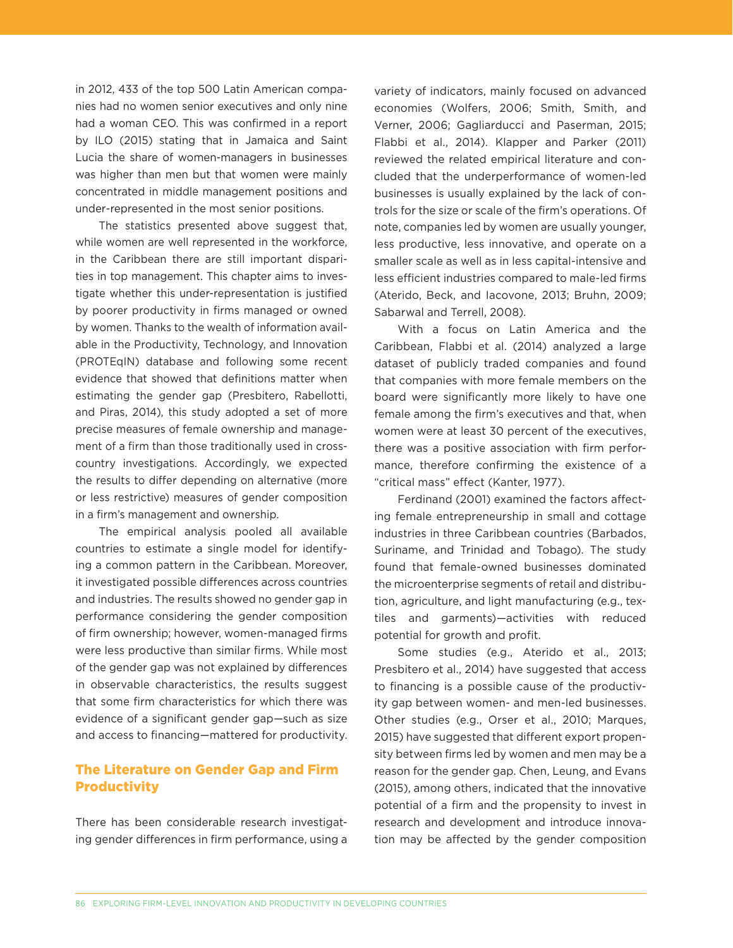in 2012, 433 of the top 500 Latin American companies had no women senior executives and only nine had a woman CEO. This was confirmed in a report by ILO (2015) stating that in Jamaica and Saint Lucia the share of women-managers in businesses was higher than men but that women were mainly concentrated in middle management positions and under-represented in the most senior positions.

The statistics presented above suggest that, while women are well represented in the workforce, in the Caribbean there are still important disparities in top management. This chapter aims to investigate whether this under-representation is justified by poorer productivity in firms managed or owned by women. Thanks to the wealth of information available in the Productivity, Technology, and Innovation (PROTEqIN) database and following some recent evidence that showed that definitions matter when estimating the gender gap (Presbitero, Rabellotti, and Piras, 2014), this study adopted a set of more precise measures of female ownership and management of a firm than those traditionally used in crosscountry investigations. Accordingly, we expected the results to differ depending on alternative (more or less restrictive) measures of gender composition in a firm's management and ownership.

The empirical analysis pooled all available countries to estimate a single model for identifying a common pattern in the Caribbean. Moreover, it investigated possible differences across countries and industries. The results showed no gender gap in performance considering the gender composition of firm ownership; however, women-managed firms were less productive than similar firms. While most of the gender gap was not explained by differences in observable characteristics, the results suggest that some firm characteristics for which there was evidence of a significant gender gap—such as size and access to financing—mattered for productivity.

## The Literature on Gender Gap and Firm **Productivity**

There has been considerable research investigating gender differences in firm performance, using a variety of indicators, mainly focused on advanced economies (Wolfers, 2006; Smith, Smith, and Verner, 2006; Gagliarducci and Paserman, 2015; Flabbi et al., 2014). Klapper and Parker (2011) reviewed the related empirical literature and concluded that the underperformance of women-led businesses is usually explained by the lack of controls for the size or scale of the firm's operations. Of note, companies led by women are usually younger, less productive, less innovative, and operate on a smaller scale as well as in less capital-intensive and less efficient industries compared to male-led firms (Aterido, Beck, and Iacovone, 2013; Bruhn, 2009; Sabarwal and Terrell, 2008).

With a focus on Latin America and the Caribbean, Flabbi et al. (2014) analyzed a large dataset of publicly traded companies and found that companies with more female members on the board were significantly more likely to have one female among the firm's executives and that, when women were at least 30 percent of the executives, there was a positive association with firm performance, therefore confirming the existence of a "critical mass" effect (Kanter, 1977).

Ferdinand (2001) examined the factors affecting female entrepreneurship in small and cottage industries in three Caribbean countries (Barbados, Suriname, and Trinidad and Tobago). The study found that female-owned businesses dominated the microenterprise segments of retail and distribution, agriculture, and light manufacturing (e.g., textiles and garments)—activities with reduced potential for growth and profit.

Some studies (e.g., Aterido et al., 2013; Presbitero et al., 2014) have suggested that access to financing is a possible cause of the productivity gap between women- and men-led businesses. Other studies (e.g., Orser et al., 2010; Marques, 2015) have suggested that different export propensity between firms led by women and men may be a reason for the gender gap. Chen, Leung, and Evans (2015), among others, indicated that the innovative potential of a firm and the propensity to invest in research and development and introduce innovation may be affected by the gender composition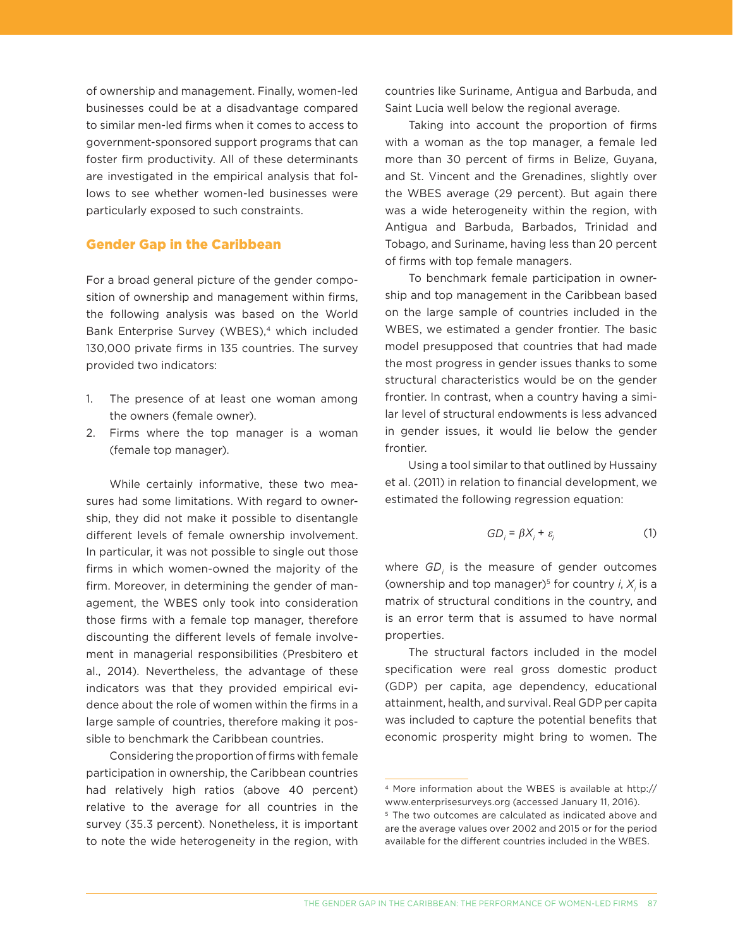of ownership and management. Finally, women-led businesses could be at a disadvantage compared to similar men-led firms when it comes to access to government-sponsored support programs that can foster firm productivity. All of these determinants are investigated in the empirical analysis that follows to see whether women-led businesses were particularly exposed to such constraints.

## Gender Gap in the Caribbean

For a broad general picture of the gender composition of ownership and management within firms, the following analysis was based on the World Bank Enterprise Survey (WBES),<sup>4</sup> which included 130,000 private firms in 135 countries. The survey provided two indicators:

- 1. The presence of at least one woman among the owners (female owner).
- 2. Firms where the top manager is a woman (female top manager).

While certainly informative, these two measures had some limitations. With regard to ownership, they did not make it possible to disentangle different levels of female ownership involvement. In particular, it was not possible to single out those firms in which women-owned the majority of the firm. Moreover, in determining the gender of management, the WBES only took into consideration those firms with a female top manager, therefore discounting the different levels of female involvement in managerial responsibilities (Presbitero et al., 2014). Nevertheless, the advantage of these indicators was that they provided empirical evidence about the role of women within the firms in a large sample of countries, therefore making it possible to benchmark the Caribbean countries.

Considering the proportion of firms with female participation in ownership, the Caribbean countries had relatively high ratios (above 40 percent) relative to the average for all countries in the survey (35.3 percent). Nonetheless, it is important to note the wide heterogeneity in the region, with countries like Suriname, Antigua and Barbuda, and Saint Lucia well below the regional average.

Taking into account the proportion of firms with a woman as the top manager, a female led more than 30 percent of firms in Belize, Guyana, and St. Vincent and the Grenadines, slightly over the WBES average (29 percent). But again there was a wide heterogeneity within the region, with Antigua and Barbuda, Barbados, Trinidad and Tobago, and Suriname, having less than 20 percent of firms with top female managers.

To benchmark female participation in ownership and top management in the Caribbean based on the large sample of countries included in the WBES, we estimated a gender frontier. The basic model presupposed that countries that had made the most progress in gender issues thanks to some structural characteristics would be on the gender frontier. In contrast, when a country having a similar level of structural endowments is less advanced in gender issues, it would lie below the gender frontier.

Using a tool similar to that outlined by Hussainy et al. (2011) in relation to financial development, we estimated the following regression equation:

$$
GD_i = \beta X_i + \varepsilon_i \tag{1}
$$

where *GD<sub>i</sub>* is the measure of gender outcomes (ownership and top manager)<sup>5</sup> for country  $i$ ,  $X_i$  is a matrix of structural conditions in the country, and is an error term that is assumed to have normal properties.

The structural factors included in the model specification were real gross domestic product (GDP) per capita, age dependency, educational attainment, health, and survival. Real GDP per capita was included to capture the potential benefits that economic prosperity might bring to women. The

<sup>4</sup> More information about the WBES is available at [http://](http://www.enterprisesurveys.org) [www.enterprisesurveys.org](http://www.enterprisesurveys.org) (accessed January 11, 2016).

<sup>5</sup> The two outcomes are calculated as indicated above and are the average values over 2002 and 2015 or for the period available for the different countries included in the WBES.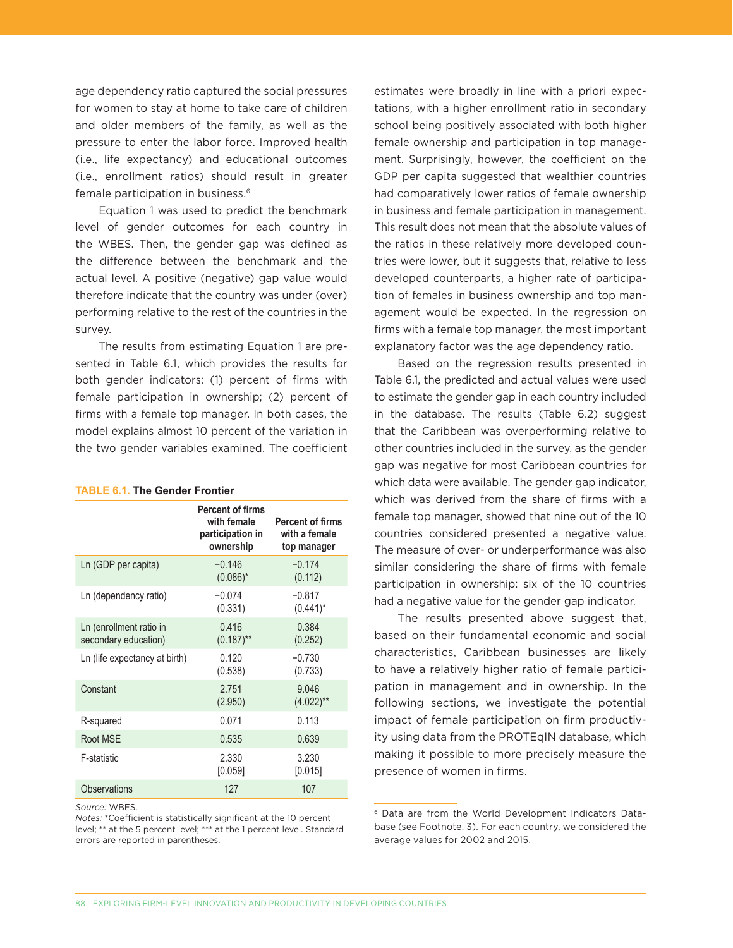age dependency ratio captured the social pressures for women to stay at home to take care of children and older members of the family, as well as the pressure to enter the labor force. Improved health (i.e., life expectancy) and educational outcomes (i.e., enrollment ratios) should result in greater female participation in business.6

Equation 1 was used to predict the benchmark level of gender outcomes for each country in the WBES. Then, the gender gap was defined as the difference between the benchmark and the actual level. A positive (negative) gap value would therefore indicate that the country was under (over) performing relative to the rest of the countries in the survey.

The results from estimating Equation 1 are presented in Table 6.1, which provides the results for both gender indicators: (1) percent of firms with female participation in ownership; (2) percent of firms with a female top manager. In both cases, the model explains almost 10 percent of the variation in the two gender variables examined. The coefficient

#### **TABLE 6.1. The Gender Frontier**

|                                                 | <b>Percent of firms</b><br>with female<br>participation in<br>ownership | <b>Percent of firms</b><br>with a female<br>top manager |
|-------------------------------------------------|-------------------------------------------------------------------------|---------------------------------------------------------|
| Ln (GDP per capita)                             | $-0.146$<br>$(0.086)^*$                                                 | $-0.174$<br>(0.112)                                     |
| Ln (dependency ratio)                           | $-0.074$<br>(0.331)                                                     | $-0.817$<br>$(0.441)^*$                                 |
| Ln (enrollment ratio in<br>secondary education) | 0.416<br>$(0.187)$ **                                                   | 0.384<br>(0.252)                                        |
| Ln (life expectancy at birth)                   | 0.120<br>(0.538)                                                        | $-0.730$<br>(0.733)                                     |
| Constant                                        | 2.751<br>(2.950)                                                        | 9.046<br>$(4.022)$ <sup>**</sup>                        |
| R-squared                                       | 0.071                                                                   | 0.113                                                   |
| Root MSE                                        | 0.535                                                                   | 0.639                                                   |
| F-statistic                                     | 2.330<br>[0.059]                                                        | 3.230<br>[0.015]                                        |
| <b>Observations</b>                             | 127                                                                     | 107                                                     |

*Source:* WBES.

*Notes:* \*Coefficient is statistically significant at the 10 percent level; \*\* at the 5 percent level; \*\*\* at the 1 percent level. Standard errors are reported in parentheses.

estimates were broadly in line with a priori expectations, with a higher enrollment ratio in secondary school being positively associated with both higher female ownership and participation in top management. Surprisingly, however, the coefficient on the GDP per capita suggested that wealthier countries had comparatively lower ratios of female ownership in business and female participation in management. This result does not mean that the absolute values of the ratios in these relatively more developed countries were lower, but it suggests that, relative to less developed counterparts, a higher rate of participation of females in business ownership and top management would be expected. In the regression on firms with a female top manager, the most important explanatory factor was the age dependency ratio.

Based on the regression results presented in Table 6.1, the predicted and actual values were used to estimate the gender gap in each country included in the database. The results (Table 6.2) suggest that the Caribbean was overperforming relative to other countries included in the survey, as the gender gap was negative for most Caribbean countries for which data were available. The gender gap indicator, which was derived from the share of firms with a female top manager, showed that nine out of the 10 countries considered presented a negative value. The measure of over- or underperformance was also similar considering the share of firms with female participation in ownership: six of the 10 countries had a negative value for the gender gap indicator.

The results presented above suggest that, based on their fundamental economic and social characteristics, Caribbean businesses are likely to have a relatively higher ratio of female participation in management and in ownership. In the following sections, we investigate the potential impact of female participation on firm productivity using data from the PROTEqIN database, which making it possible to more precisely measure the presence of women in firms.

<sup>6</sup> Data are from the World Development Indicators Database (see Footnote. 3). For each country, we considered the average values for 2002 and 2015.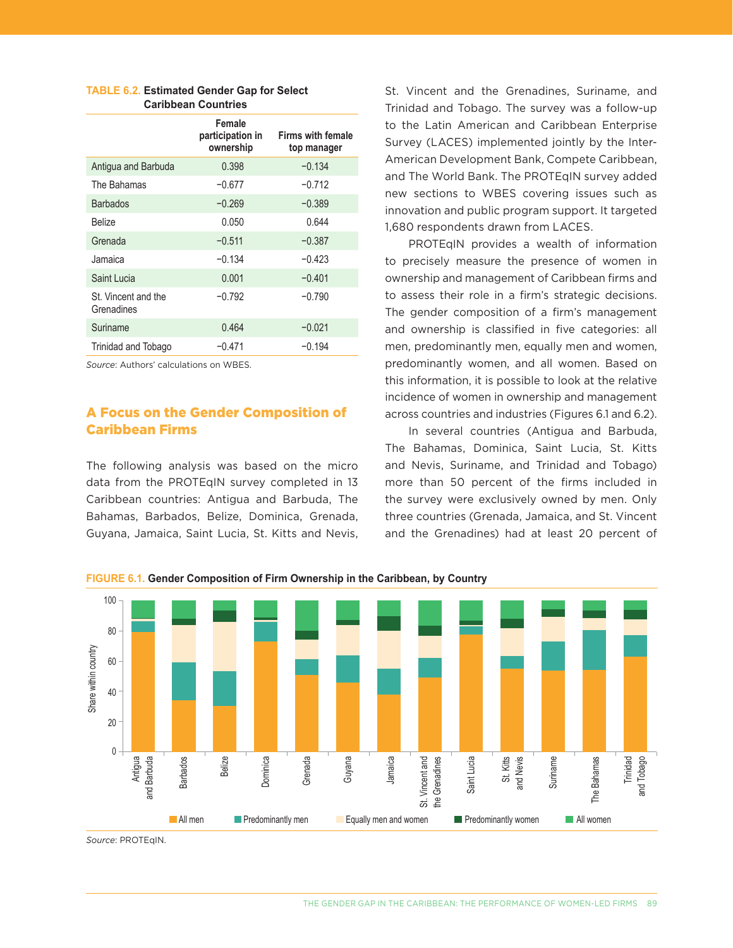|                                   | Female<br>participation in<br>ownership | <b>Firms with female</b><br>top manager |
|-----------------------------------|-----------------------------------------|-----------------------------------------|
| Antigua and Barbuda               | 0.398                                   | $-0.134$                                |
| The Bahamas                       | $-0.677$                                | $-0.712$                                |
| <b>Barbados</b>                   | $-0.269$                                | $-0.389$                                |
| <b>Belize</b>                     | 0.050                                   | 0.644                                   |
| Grenada                           | $-0.511$                                | $-0.387$                                |
| Jamaica                           | $-0.134$                                | $-0.423$                                |
| Saint Lucia                       | 0.001                                   | $-0.401$                                |
| St. Vincent and the<br>Grenadines | $-0.792$                                | $-0.790$                                |
| Suriname                          | 0.464                                   | $-0.021$                                |
| Trinidad and Tobago               | $-0.471$                                | $-0.194$                                |
|                                   |                                         |                                         |

#### **TABLE 6.2. Estimated Gender Gap for Select Caribbean Countries**

*Source*: Authors' calculations on WBES.

# A Focus on the Gender Composition of Caribbean Firms

The following analysis was based on the micro data from the PROTEqIN survey completed in 13 Caribbean countries: Antigua and Barbuda, The Bahamas, Barbados, Belize, Dominica, Grenada, Guyana, Jamaica, Saint Lucia, St. Kitts and Nevis, St. Vincent and the Grenadines, Suriname, and Trinidad and Tobago. The survey was a follow-up to the Latin American and Caribbean Enterprise Survey (LACES) implemented jointly by the Inter-American Development Bank, Compete Caribbean, and The World Bank. The PROTEqIN survey added new sections to WBES covering issues such as innovation and public program support. It targeted 1,680 respondents drawn from LACES.

PROTEqIN provides a wealth of information to precisely measure the presence of women in ownership and management of Caribbean firms and to assess their role in a firm's strategic decisions. The gender composition of a firm's management and ownership is classified in five categories: all men, predominantly men, equally men and women, predominantly women, and all women. Based on this information, it is possible to look at the relative incidence of women in ownership and management across countries and industries (Figures 6.1 and 6.2).

In several countries (Antigua and Barbuda, The Bahamas, Dominica, Saint Lucia, St. Kitts and Nevis, Suriname, and Trinidad and Tobago) more than 50 percent of the firms included in the survey were exclusively owned by men. Only three countries (Grenada, Jamaica, and St. Vincent and the Grenadines) had at least 20 percent of



**FIGURE 6.1. Gender Composition of Firm Ownership in the Caribbean, by Country**

*Source*: PROTEqIN.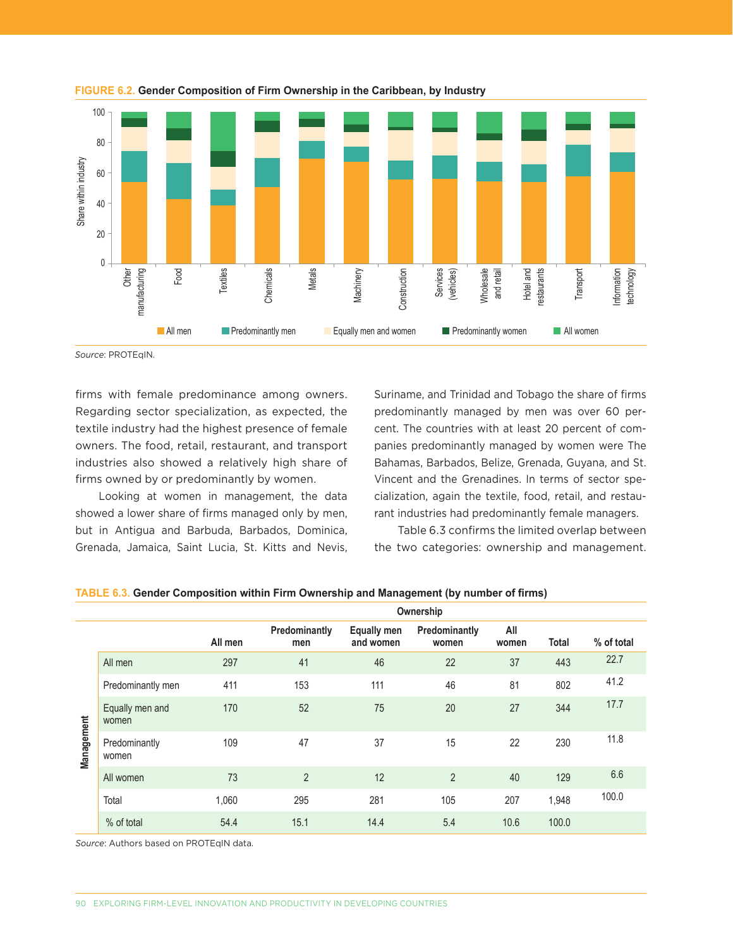



*Source*: PROTEqIN.

firms with female predominance among owners. Regarding sector specialization, as expected, the textile industry had the highest presence of female owners. The food, retail, restaurant, and transport industries also showed a relatively high share of firms owned by or predominantly by women.

Looking at women in management, the data showed a lower share of firms managed only by men, but in Antigua and Barbuda, Barbados, Dominica, Grenada, Jamaica, Saint Lucia, St. Kitts and Nevis, Suriname, and Trinidad and Tobago the share of firms predominantly managed by men was over 60 percent. The countries with at least 20 percent of companies predominantly managed by women were The Bahamas, Barbados, Belize, Grenada, Guyana, and St. Vincent and the Grenadines. In terms of sector specialization, again the textile, food, retail, and restaurant industries had predominantly female managers.

Table 6.3 confirms the limited overlap between the two categories: ownership and management.

|            |                          |         |                      |                                 | Ownership              |              |              |            |
|------------|--------------------------|---------|----------------------|---------------------------------|------------------------|--------------|--------------|------------|
|            |                          | All men | Predominantly<br>men | <b>Equally men</b><br>and women | Predominantly<br>women | All<br>women | <b>Total</b> | % of total |
|            | All men                  | 297     | 41                   | 46                              | 22                     | 37           | 443          | 22.7       |
|            | Predominantly men        | 411     | 153                  | 111                             | 46                     | 81           | 802          | 41.2       |
|            | Equally men and<br>women | 170     | 52                   | 75                              | 20                     | 27           | 344          | 17.7       |
| Management | Predominantly<br>women   | 109     | 47                   | 37                              | 15                     | 22           | 230          | 11.8       |
|            | All women                | 73      | $\overline{2}$       | 12                              | $\overline{2}$         | 40           | 129          | 6.6        |
|            | Total                    | 1,060   | 295                  | 281                             | 105                    | 207          | 1,948        | 100.0      |
|            | % of total               | 54.4    | 15.1                 | 14.4                            | 5.4                    | 10.6         | 100.0        |            |

#### **TABLE 6.3. Gender Composition within Firm Ownership and Management (by number of firms)**

*Source*: Authors based on PROTEqIN data.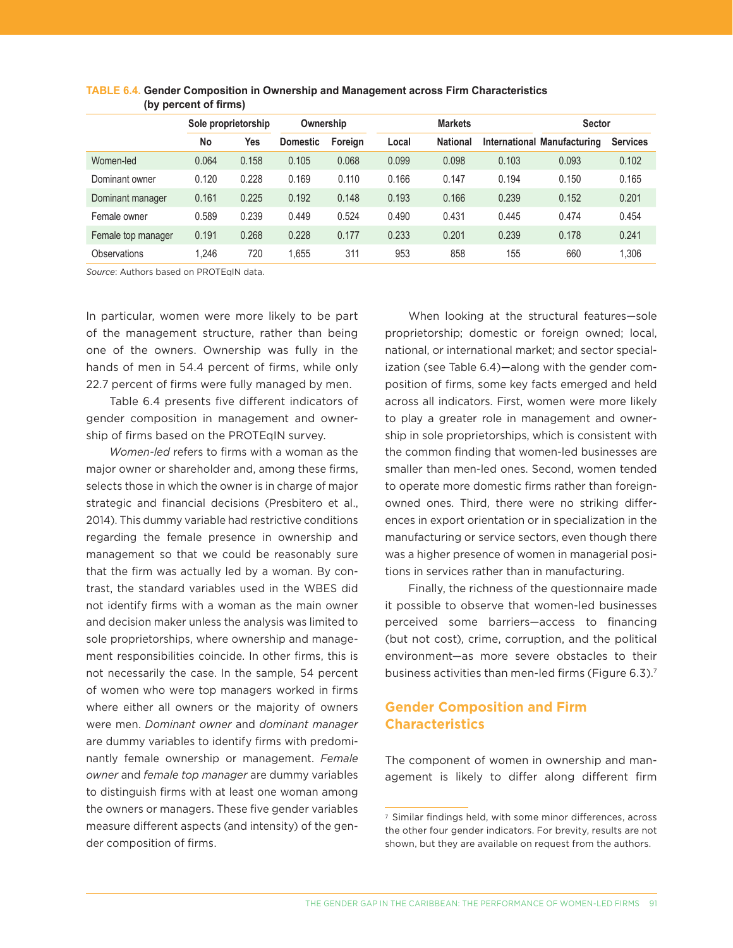|                    |       | Sole proprietorship |                 | <b>Markets</b><br>Ownership |       |                 |       | <b>Sector</b>               |                 |
|--------------------|-------|---------------------|-----------------|-----------------------------|-------|-----------------|-------|-----------------------------|-----------------|
|                    | No    | Yes                 | <b>Domestic</b> | Foreign                     | Local | <b>National</b> |       | International Manufacturing | <b>Services</b> |
| Women-led          | 0.064 | 0.158               | 0.105           | 0.068                       | 0.099 | 0.098           | 0.103 | 0.093                       | 0.102           |
| Dominant owner     | 0.120 | 0.228               | 0.169           | 0.110                       | 0.166 | 0.147           | 0.194 | 0.150                       | 0.165           |
| Dominant manager   | 0.161 | 0.225               | 0.192           | 0.148                       | 0.193 | 0.166           | 0.239 | 0.152                       | 0.201           |
| Female owner       | 0.589 | 0.239               | 0.449           | 0.524                       | 0.490 | 0.431           | 0.445 | 0.474                       | 0.454           |
| Female top manager | 0.191 | 0.268               | 0.228           | 0.177                       | 0.233 | 0.201           | 0.239 | 0.178                       | 0.241           |
| Observations       | 1.246 | 720                 | 1.655           | 311                         | 953   | 858             | 155   | 660                         | .306            |

| TABLE 6.4. Gender Composition in Ownership and Management across Firm Characteristics |
|---------------------------------------------------------------------------------------|
| (by percent of firms)                                                                 |

*Source*: Authors based on PROTEqIN data.

In particular, women were more likely to be part of the management structure, rather than being one of the owners. Ownership was fully in the hands of men in 54.4 percent of firms, while only 22.7 percent of firms were fully managed by men.

Table 6.4 presents five different indicators of gender composition in management and ownership of firms based on the PROTEqIN survey.

*Women-led* refers to firms with a woman as the major owner or shareholder and, among these firms, selects those in which the owner is in charge of major strategic and financial decisions (Presbitero et al., 2014). This dummy variable had restrictive conditions regarding the female presence in ownership and management so that we could be reasonably sure that the firm was actually led by a woman. By contrast, the standard variables used in the WBES did not identify firms with a woman as the main owner and decision maker unless the analysis was limited to sole proprietorships, where ownership and management responsibilities coincide. In other firms, this is not necessarily the case. In the sample, 54 percent of women who were top managers worked in firms where either all owners or the majority of owners were men. *Dominant owner* and *dominant manager* are dummy variables to identify firms with predominantly female ownership or management. *Female owner* and *female top manager* are dummy variables to distinguish firms with at least one woman among the owners or managers. These five gender variables measure different aspects (and intensity) of the gender composition of firms.

When looking at the structural features—sole proprietorship; domestic or foreign owned; local, national, or international market; and sector specialization (see Table 6.4)—along with the gender composition of firms, some key facts emerged and held across all indicators. First, women were more likely to play a greater role in management and ownership in sole proprietorships, which is consistent with the common finding that women-led businesses are smaller than men-led ones. Second, women tended to operate more domestic firms rather than foreignowned ones. Third, there were no striking differences in export orientation or in specialization in the manufacturing or service sectors, even though there was a higher presence of women in managerial positions in services rather than in manufacturing.

Finally, the richness of the questionnaire made it possible to observe that women-led businesses perceived some barriers—access to financing (but not cost), crime, corruption, and the political environment—as more severe obstacles to their business activities than men-led firms (Figure 6.3).7

# **Gender Composition and Firm Characteristics**

The component of women in ownership and management is likely to differ along different firm

<sup>7</sup> Similar findings held, with some minor differences, across the other four gender indicators. For brevity, results are not shown, but they are available on request from the authors.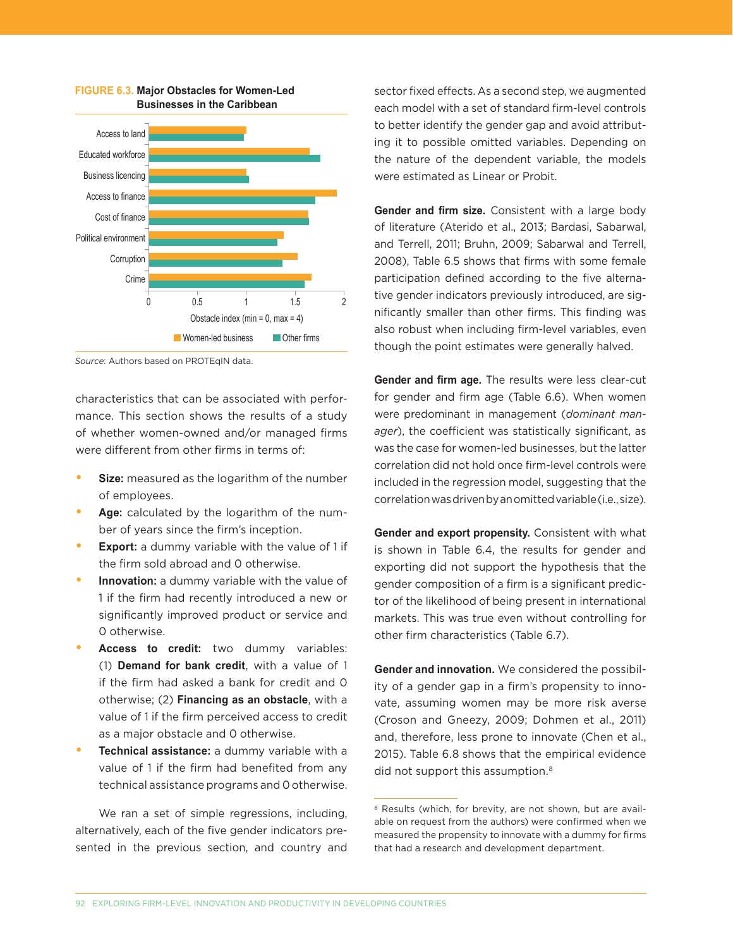

#### **FIGURE 6.3. Major Obstacles for Women-Led Businesses in the Caribbean**

*Source*: Authors based on PROTEqIN data.

characteristics that can be associated with performance. This section shows the results of a study of whether women-owned and/or managed firms were different from other firms in terms of:

- **• Size:** measured as the logarithm of the number of employees.
- **• Age:** calculated by the logarithm of the number of years since the firm's inception.
- **Export:** a dummy variable with the value of 1 if the firm sold abroad and 0 otherwise.
- **• Innovation:** a dummy variable with the value of 1 if the firm had recently introduced a new or significantly improved product or service and 0 otherwise.
- **• Access to credit:** two dummy variables: (1) **Demand for bank credit**, with a value of 1 if the firm had asked a bank for credit and 0 otherwise; (2) **Financing as an obstacle**, with a value of 1 if the firm perceived access to credit as a major obstacle and 0 otherwise.
- **• Technical assistance:** a dummy variable with a value of 1 if the firm had benefited from any technical assistance programs and 0 otherwise.

We ran a set of simple regressions, including, alternatively, each of the five gender indicators presented in the previous section, and country and sector fixed effects. As a second step, we augmented each model with a set of standard firm-level controls to better identify the gender gap and avoid attributing it to possible omitted variables. Depending on the nature of the dependent variable, the models were estimated as Linear or Probit.

**Gender and firm size.** Consistent with a large body of literature (Aterido et al., 2013; Bardasi, Sabarwal, and Terrell, 2011; Bruhn, 2009; Sabarwal and Terrell, 2008), Table 6.5 shows that firms with some female participation defined according to the five alternative gender indicators previously introduced, are significantly smaller than other firms. This finding was also robust when including firm-level variables, even though the point estimates were generally halved.

**Gender and firm age.** The results were less clear-cut for gender and firm age (Table 6.6). When women were predominant in management (*dominant manager*), the coefficient was statistically significant, as was the case for women-led businesses, but the latter correlation did not hold once firm-level controls were included in the regression model, suggesting that the correlation was driven by an omitted variable (i.e., size).

**Gender and export propensity.** Consistent with what is shown in Table 6.4, the results for gender and exporting did not support the hypothesis that the gender composition of a firm is a significant predictor of the likelihood of being present in international markets. This was true even without controlling for other firm characteristics (Table 6.7).

**Gender and innovation.** We considered the possibility of a gender gap in a firm's propensity to innovate, assuming women may be more risk averse (Croson and Gneezy, 2009; Dohmen et al., 2011) and, therefore, less prone to innovate (Chen et al., 2015). Table 6.8 shows that the empirical evidence did not support this assumption.<sup>8</sup>

<sup>&</sup>lt;sup>8</sup> Results (which, for brevity, are not shown, but are available on request from the authors) were confirmed when we measured the propensity to innovate with a dummy for firms that had a research and development department.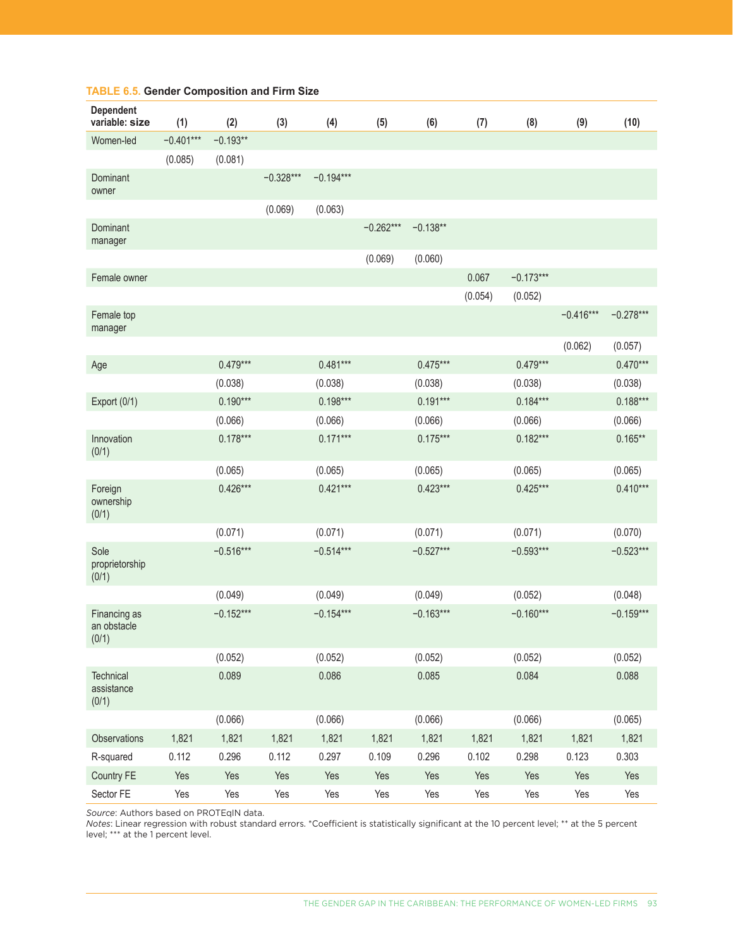| <b>Dependent</b><br>variable: size   | (1)         | (2)         | (3)         | (4)         | (5)         | (6)         | (7)     | (8)         | (9)         | (10)        |
|--------------------------------------|-------------|-------------|-------------|-------------|-------------|-------------|---------|-------------|-------------|-------------|
| Women-led                            | $-0.401***$ | $-0.193**$  |             |             |             |             |         |             |             |             |
|                                      | (0.085)     | (0.081)     |             |             |             |             |         |             |             |             |
| Dominant<br>owner                    |             |             | $-0.328***$ | $-0.194***$ |             |             |         |             |             |             |
|                                      |             |             | (0.069)     | (0.063)     |             |             |         |             |             |             |
| Dominant<br>manager                  |             |             |             |             | $-0.262***$ | $-0.138**$  |         |             |             |             |
|                                      |             |             |             |             | (0.069)     | (0.060)     |         |             |             |             |
| Female owner                         |             |             |             |             |             |             | 0.067   | $-0.173***$ |             |             |
|                                      |             |             |             |             |             |             | (0.054) | (0.052)     |             |             |
| Female top<br>manager                |             |             |             |             |             |             |         |             | $-0.416***$ | $-0.278***$ |
|                                      |             |             |             |             |             |             |         |             | (0.062)     | (0.057)     |
| Age                                  |             | $0.479***$  |             | $0.481***$  |             | $0.475***$  |         | $0.479***$  |             | $0.470***$  |
|                                      |             | (0.038)     |             | (0.038)     |             | (0.038)     |         | (0.038)     |             | (0.038)     |
| Export (0/1)                         |             | $0.190***$  |             | $0.198***$  |             | $0.191***$  |         | $0.184***$  |             | $0.188***$  |
|                                      |             | (0.066)     |             | (0.066)     |             | (0.066)     |         | (0.066)     |             | (0.066)     |
| Innovation<br>(0/1)                  |             | $0.178***$  |             | $0.171***$  |             | $0.175***$  |         | $0.182***$  |             | $0.165**$   |
|                                      |             | (0.065)     |             | (0.065)     |             | (0.065)     |         | (0.065)     |             | (0.065)     |
| Foreign<br>ownership<br>(0/1)        |             | $0.426***$  |             | $0.421***$  |             | $0.423***$  |         | $0.425***$  |             | $0.410***$  |
|                                      |             | (0.071)     |             | (0.071)     |             | (0.071)     |         | (0.071)     |             | (0.070)     |
| Sole<br>proprietorship<br>(0/1)      |             | $-0.516***$ |             | $-0.514***$ |             | $-0.527***$ |         | $-0.593***$ |             | $-0.523***$ |
|                                      |             | (0.049)     |             | (0.049)     |             | (0.049)     |         | (0.052)     |             | (0.048)     |
| Financing as<br>an obstacle<br>(0/1) |             | $-0.152***$ |             | $-0.154***$ |             | $-0.163***$ |         | $-0.160***$ |             | $-0.159***$ |
|                                      |             | (0.052)     |             | (0.052)     |             | (0.052)     |         | (0.052)     |             | (0.052)     |
| Technical<br>assistance<br>(0/1)     |             | 0.089       |             | 0.086       |             | 0.085       |         | 0.084       |             | 0.088       |
|                                      |             | (0.066)     |             | (0.066)     |             | (0.066)     |         | (0.066)     |             | (0.065)     |
| Observations                         | 1,821       | 1,821       | 1,821       | 1,821       | 1,821       | 1,821       | 1,821   | 1,821       | 1,821       | 1,821       |
| R-squared                            | 0.112       | 0.296       | 0.112       | 0.297       | 0.109       | 0.296       | 0.102   | 0.298       | 0.123       | 0.303       |
| Country FE                           | Yes         | Yes         | Yes         | Yes         | Yes         | Yes         | Yes     | Yes         | Yes         | Yes         |
| Sector FE                            | Yes         | Yes         | Yes         | Yes         | Yes         | Yes         | Yes     | Yes         | Yes         | Yes         |

#### **TABLE 6.5. Gender Composition and Firm Size**

*Source*: Authors based on PROTEqIN data.

*Notes*: Linear regression with robust standard errors. \*Coefficient is statistically significant at the 10 percent level; \*\* at the 5 percent level; \*\*\* at the 1 percent level.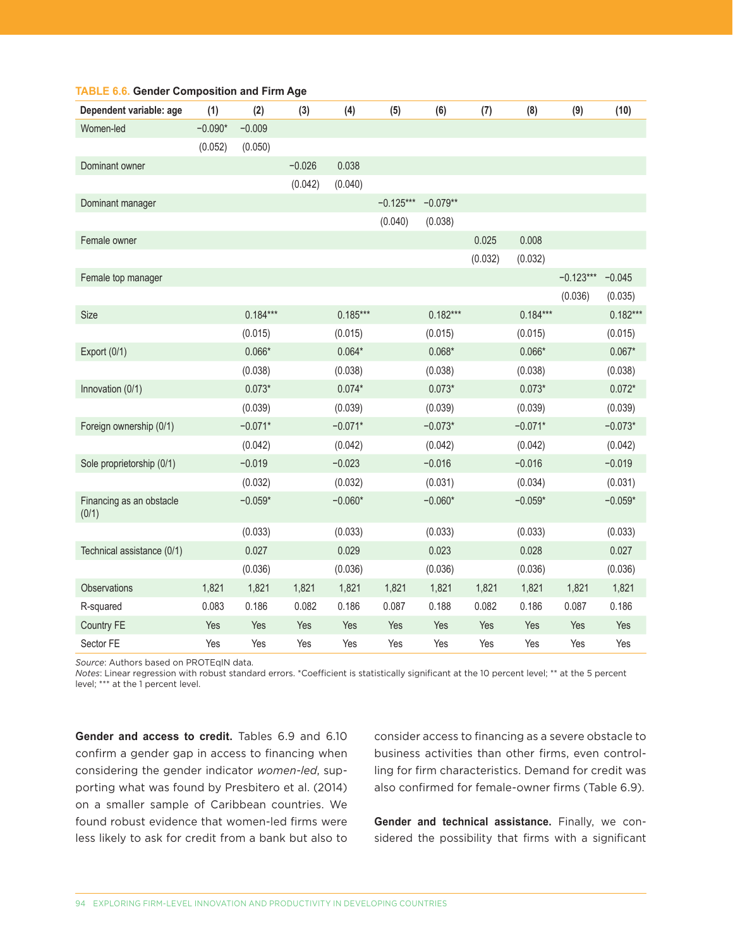| Dependent variable: age           | (1)       | (2)        | (3)      | (4)        | (5)         | (6)        | (7)     | (8)        | (9)         | (10)       |
|-----------------------------------|-----------|------------|----------|------------|-------------|------------|---------|------------|-------------|------------|
| Women-led                         | $-0.090*$ | $-0.009$   |          |            |             |            |         |            |             |            |
|                                   | (0.052)   | (0.050)    |          |            |             |            |         |            |             |            |
| Dominant owner                    |           |            | $-0.026$ | 0.038      |             |            |         |            |             |            |
|                                   |           |            | (0.042)  | (0.040)    |             |            |         |            |             |            |
| Dominant manager                  |           |            |          |            | $-0.125***$ | $-0.079**$ |         |            |             |            |
|                                   |           |            |          |            | (0.040)     | (0.038)    |         |            |             |            |
| Female owner                      |           |            |          |            |             |            | 0.025   | 0.008      |             |            |
|                                   |           |            |          |            |             |            | (0.032) | (0.032)    |             |            |
| Female top manager                |           |            |          |            |             |            |         |            | $-0.123***$ | $-0.045$   |
|                                   |           |            |          |            |             |            |         |            | (0.036)     | (0.035)    |
| Size                              |           | $0.184***$ |          | $0.185***$ |             | $0.182***$ |         | $0.184***$ |             | $0.182***$ |
|                                   |           | (0.015)    |          | (0.015)    |             | (0.015)    |         | (0.015)    |             | (0.015)    |
| Export (0/1)                      |           | $0.066*$   |          | $0.064*$   |             | $0.068*$   |         | $0.066*$   |             | $0.067*$   |
|                                   |           | (0.038)    |          | (0.038)    |             | (0.038)    |         | (0.038)    |             | (0.038)    |
| Innovation (0/1)                  |           | $0.073*$   |          | $0.074*$   |             | $0.073*$   |         | $0.073*$   |             | $0.072*$   |
|                                   |           | (0.039)    |          | (0.039)    |             | (0.039)    |         | (0.039)    |             | (0.039)    |
| Foreign ownership (0/1)           |           | $-0.071*$  |          | $-0.071*$  |             | $-0.073*$  |         | $-0.071*$  |             | $-0.073*$  |
|                                   |           | (0.042)    |          | (0.042)    |             | (0.042)    |         | (0.042)    |             | (0.042)    |
| Sole proprietorship (0/1)         |           | $-0.019$   |          | $-0.023$   |             | $-0.016$   |         | $-0.016$   |             | $-0.019$   |
|                                   |           | (0.032)    |          | (0.032)    |             | (0.031)    |         | (0.034)    |             | (0.031)    |
| Financing as an obstacle<br>(0/1) |           | $-0.059*$  |          | $-0.060*$  |             | $-0.060*$  |         | $-0.059*$  |             | $-0.059*$  |
|                                   |           | (0.033)    |          | (0.033)    |             | (0.033)    |         | (0.033)    |             | (0.033)    |
| Technical assistance (0/1)        |           | 0.027      |          | 0.029      |             | 0.023      |         | 0.028      |             | 0.027      |
|                                   |           | (0.036)    |          | (0.036)    |             | (0.036)    |         | (0.036)    |             | (0.036)    |
| Observations                      | 1,821     | 1,821      | 1,821    | 1,821      | 1,821       | 1,821      | 1,821   | 1,821      | 1,821       | 1,821      |
| R-squared                         | 0.083     | 0.186      | 0.082    | 0.186      | 0.087       | 0.188      | 0.082   | 0.186      | 0.087       | 0.186      |
| Country FE                        | Yes       | Yes        | Yes      | Yes        | Yes         | Yes        | Yes     | Yes        | Yes         | Yes        |
| Sector FE                         | Yes       | Yes        | Yes      | Yes        | Yes         | Yes        | Yes     | Yes        | Yes         | Yes        |

#### **TABLE 6.6. Gender Composition and Firm Age**

*Source*: Authors based on PROTEqIN data.

*Notes*: Linear regression with robust standard errors. \*Coefficient is statistically significant at the 10 percent level; \*\* at the 5 percent level; \*\*\* at the 1 percent level.

**Gender and access to credit.** Tables 6.9 and 6.10 confirm a gender gap in access to financing when considering the gender indicator *women-led*, supporting what was found by Presbitero et al. (2014) on a smaller sample of Caribbean countries. We found robust evidence that women-led firms were less likely to ask for credit from a bank but also to

consider access to financing as a severe obstacle to business activities than other firms, even controlling for firm characteristics. Demand for credit was also confirmed for female-owner firms (Table 6.9).

**Gender and technical assistance.** Finally, we considered the possibility that firms with a significant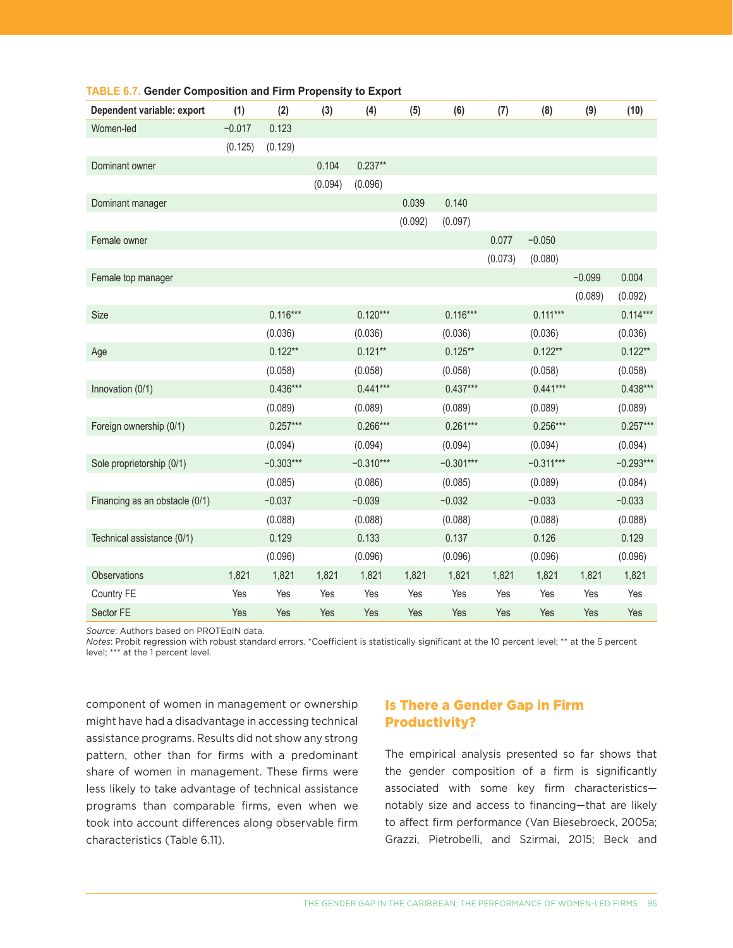| Dependent variable: export     | (1)      | (2)         | (3)     | (4)         | (5)     | (6)         | (7)     | (8)         | (9)      | (10)        |
|--------------------------------|----------|-------------|---------|-------------|---------|-------------|---------|-------------|----------|-------------|
| Women-led                      | $-0.017$ | 0.123       |         |             |         |             |         |             |          |             |
|                                | (0.125)  | (0.129)     |         |             |         |             |         |             |          |             |
| Dominant owner                 |          |             | 0.104   | $0.237**$   |         |             |         |             |          |             |
|                                |          |             | (0.094) | (0.096)     |         |             |         |             |          |             |
| Dominant manager               |          |             |         |             | 0.039   | 0.140       |         |             |          |             |
|                                |          |             |         |             | (0.092) | (0.097)     |         |             |          |             |
| Female owner                   |          |             |         |             |         |             | 0.077   | $-0.050$    |          |             |
|                                |          |             |         |             |         |             | (0.073) | (0.080)     |          |             |
| Female top manager             |          |             |         |             |         |             |         |             | $-0.099$ | 0.004       |
|                                |          |             |         |             |         |             |         |             | (0.089)  | (0.092)     |
| Size                           |          | $0.116***$  |         | $0.120***$  |         | $0.116***$  |         | $0.111***$  |          | $0.114***$  |
|                                |          | (0.036)     |         | (0.036)     |         | (0.036)     |         | (0.036)     |          | (0.036)     |
| Age                            |          | $0.122**$   |         | $0.121**$   |         | $0.125**$   |         | $0.122**$   |          | $0.122**$   |
|                                |          | (0.058)     |         | (0.058)     |         | (0.058)     |         | (0.058)     |          | (0.058)     |
| Innovation (0/1)               |          | $0.436***$  |         | $0.441***$  |         | $0.437***$  |         | $0.441***$  |          | $0.438***$  |
|                                |          | (0.089)     |         | (0.089)     |         | (0.089)     |         | (0.089)     |          | (0.089)     |
| Foreign ownership (0/1)        |          | $0.257***$  |         | $0.266***$  |         | $0.261***$  |         | $0.256***$  |          | $0.257***$  |
|                                |          | (0.094)     |         | (0.094)     |         | (0.094)     |         | (0.094)     |          | (0.094)     |
| Sole proprietorship (0/1)      |          | $-0.303***$ |         | $-0.310***$ |         | $-0.301***$ |         | $-0.311***$ |          | $-0.293***$ |
|                                |          | (0.085)     |         | (0.086)     |         | (0.085)     |         | (0.089)     |          | (0.084)     |
| Financing as an obstacle (0/1) |          | $-0.037$    |         | $-0.039$    |         | $-0.032$    |         | $-0.033$    |          | $-0.033$    |
|                                |          | (0.088)     |         | (0.088)     |         | (0.088)     |         | (0.088)     |          | (0.088)     |
| Technical assistance (0/1)     |          | 0.129       |         | 0.133       |         | 0.137       |         | 0.126       |          | 0.129       |
|                                |          | (0.096)     |         | (0.096)     |         | (0.096)     |         | (0.096)     |          | (0.096)     |
| Observations                   | 1,821    | 1,821       | 1,821   | 1,821       | 1,821   | 1,821       | 1,821   | 1,821       | 1,821    | 1,821       |
| Country FE                     | Yes      | Yes         | Yes     | Yes         | Yes     | Yes         | Yes     | Yes         | Yes      | Yes         |
| Sector FE                      | Yes      | Yes         | Yes     | Yes         | Yes     | Yes         | Yes     | Yes         | Yes      | Yes         |

#### **TABLE 6.7. Gender Composition and Firm Propensity to Export**

*Source*: Authors based on PROTEqIN data.

*Notes*: Probit regression with robust standard errors. \*Coefficient is statistically significant at the 10 percent level; \*\* at the 5 percent level; \*\*\* at the 1 percent level.

component of women in management or ownership might have had a disadvantage in accessing technical assistance programs. Results did not show any strong pattern, other than for firms with a predominant share of women in management. These firms were less likely to take advantage of technical assistance programs than comparable firms, even when we took into account differences along observable firm characteristics (Table 6.11).

# Is There a Gender Gap in Firm Productivity?

The empirical analysis presented so far shows that the gender composition of a firm is significantly associated with some key firm characteristics notably size and access to financing—that are likely to affect firm performance (Van Biesebroeck, 2005a; Grazzi, Pietrobelli, and Szirmai, 2015; Beck and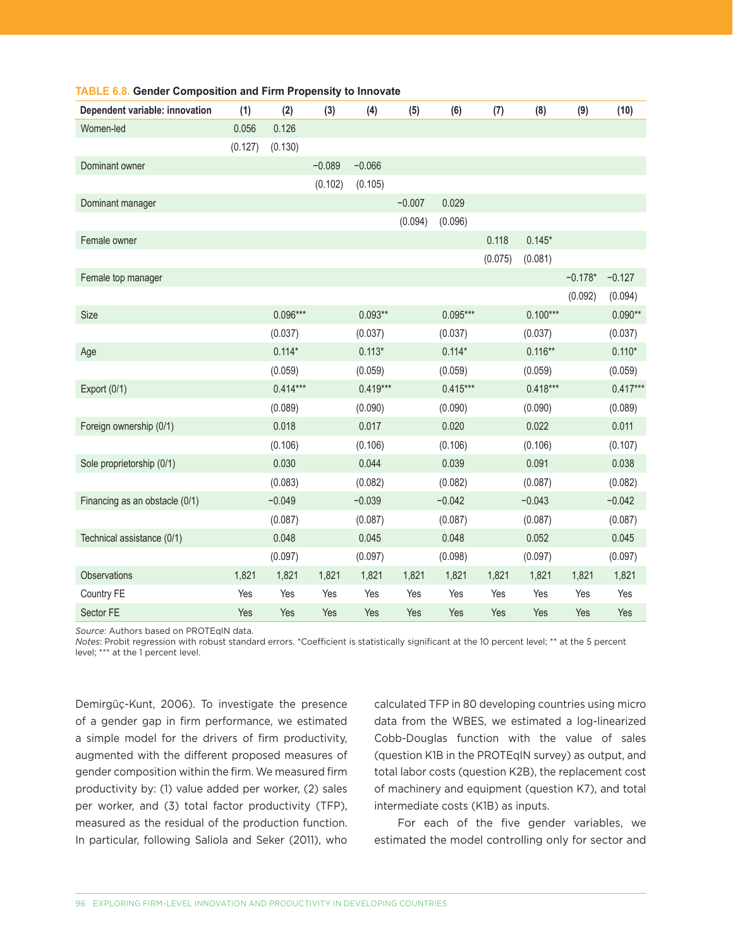| Dependent variable: innovation | (1)     | (2)        | (3)      | (4)        | (5)      | (6)        | (7)     | (8)        | (9)       | (10)       |
|--------------------------------|---------|------------|----------|------------|----------|------------|---------|------------|-----------|------------|
| Women-led                      | 0.056   | 0.126      |          |            |          |            |         |            |           |            |
|                                | (0.127) | (0.130)    |          |            |          |            |         |            |           |            |
| Dominant owner                 |         |            | $-0.089$ | $-0.066$   |          |            |         |            |           |            |
|                                |         |            | (0.102)  | (0.105)    |          |            |         |            |           |            |
| Dominant manager               |         |            |          |            | $-0.007$ | 0.029      |         |            |           |            |
|                                |         |            |          |            | (0.094)  | (0.096)    |         |            |           |            |
| Female owner                   |         |            |          |            |          |            | 0.118   | $0.145*$   |           |            |
|                                |         |            |          |            |          |            | (0.075) | (0.081)    |           |            |
| Female top manager             |         |            |          |            |          |            |         |            | $-0.178*$ | $-0.127$   |
|                                |         |            |          |            |          |            |         |            | (0.092)   | (0.094)    |
| Size                           |         | $0.096***$ |          | $0.093**$  |          | $0.095***$ |         | $0.100***$ |           | $0.090**$  |
|                                |         | (0.037)    |          | (0.037)    |          | (0.037)    |         | (0.037)    |           | (0.037)    |
| Age                            |         | $0.114*$   |          | $0.113*$   |          | $0.114*$   |         | $0.116**$  |           | $0.110*$   |
|                                |         | (0.059)    |          | (0.059)    |          | (0.059)    |         | (0.059)    |           | (0.059)    |
| Export (0/1)                   |         | $0.414***$ |          | $0.419***$ |          | $0.415***$ |         | $0.418***$ |           | $0.417***$ |
|                                |         | (0.089)    |          | (0.090)    |          | (0.090)    |         | (0.090)    |           | (0.089)    |
| Foreign ownership (0/1)        |         | 0.018      |          | 0.017      |          | 0.020      |         | 0.022      |           | 0.011      |
|                                |         | (0.106)    |          | (0.106)    |          | (0.106)    |         | (0.106)    |           | (0.107)    |
| Sole proprietorship (0/1)      |         | 0.030      |          | 0.044      |          | 0.039      |         | 0.091      |           | 0.038      |
|                                |         | (0.083)    |          | (0.082)    |          | (0.082)    |         | (0.087)    |           | (0.082)    |
| Financing as an obstacle (0/1) |         | $-0.049$   |          | $-0.039$   |          | $-0.042$   |         | $-0.043$   |           | $-0.042$   |
|                                |         | (0.087)    |          | (0.087)    |          | (0.087)    |         | (0.087)    |           | (0.087)    |
| Technical assistance (0/1)     |         | 0.048      |          | 0.045      |          | 0.048      |         | 0.052      |           | 0.045      |
|                                |         | (0.097)    |          | (0.097)    |          | (0.098)    |         | (0.097)    |           | (0.097)    |
| Observations                   | 1,821   | 1,821      | 1,821    | 1,821      | 1,821    | 1,821      | 1,821   | 1,821      | 1,821     | 1,821      |
| Country FE                     | Yes     | Yes        | Yes      | Yes        | Yes      | Yes        | Yes     | Yes        | Yes       | Yes        |
| Sector FE                      | Yes     | Yes        | Yes      | Yes        | Yes      | Yes        | Yes     | Yes        | Yes       | Yes        |

#### **TABLE 6.8. Gender Composition and Firm Propensity to Innovate**

*Source*: Authors based on PROTEqIN data.

*Notes*: Probit regression with robust standard errors. \*Coefficient is statistically significant at the 10 percent level; \*\* at the 5 percent level; \*\*\* at the 1 percent level.

Demirgüç-Kunt, 2006). To investigate the presence of a gender gap in firm performance, we estimated a simple model for the drivers of firm productivity, augmented with the different proposed measures of gender composition within the firm. We measured firm productivity by: (1) value added per worker, (2) sales per worker, and (3) total factor productivity (TFP), measured as the residual of the production function. In particular, following Saliola and Seker (2011), who

calculated TFP in 80 developing countries using micro data from the WBES, we estimated a log-linearized Cobb-Douglas function with the value of sales (question K1B in the PROTEqIN survey) as output, and total labor costs (question K2B), the replacement cost of machinery and equipment (question K7), and total intermediate costs (K1B) as inputs.

For each of the five gender variables, we estimated the model controlling only for sector and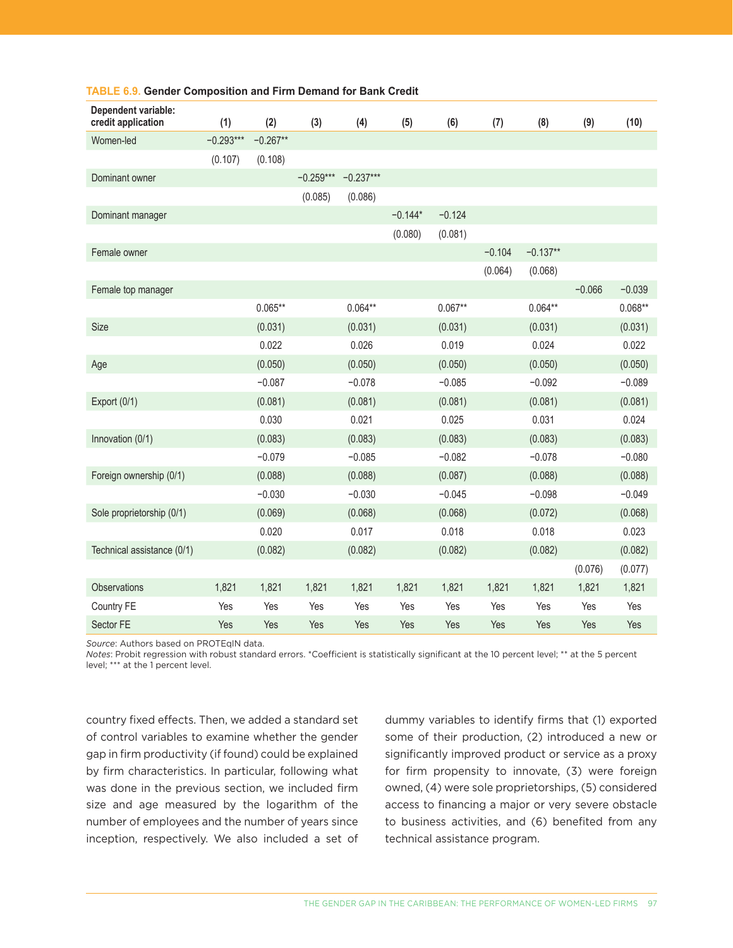| Dependent variable:<br>credit application | (1)         | (2)        | (3)         | (4)         | (5)       | (6)       | (7)      | (8)        | (9)      | (10)      |
|-------------------------------------------|-------------|------------|-------------|-------------|-----------|-----------|----------|------------|----------|-----------|
| Women-led                                 | $-0.293***$ | $-0.267**$ |             |             |           |           |          |            |          |           |
|                                           | (0.107)     | (0.108)    |             |             |           |           |          |            |          |           |
| Dominant owner                            |             |            | $-0.259***$ | $-0.237***$ |           |           |          |            |          |           |
|                                           |             |            | (0.085)     | (0.086)     |           |           |          |            |          |           |
| Dominant manager                          |             |            |             |             | $-0.144*$ | $-0.124$  |          |            |          |           |
|                                           |             |            |             |             | (0.080)   | (0.081)   |          |            |          |           |
| Female owner                              |             |            |             |             |           |           | $-0.104$ | $-0.137**$ |          |           |
|                                           |             |            |             |             |           |           | (0.064)  | (0.068)    |          |           |
| Female top manager                        |             |            |             |             |           |           |          |            | $-0.066$ | $-0.039$  |
|                                           |             | $0.065**$  |             | $0.064**$   |           | $0.067**$ |          | $0.064**$  |          | $0.068**$ |
| Size                                      |             | (0.031)    |             | (0.031)     |           | (0.031)   |          | (0.031)    |          | (0.031)   |
|                                           |             | 0.022      |             | 0.026       |           | 0.019     |          | 0.024      |          | 0.022     |
| Age                                       |             | (0.050)    |             | (0.050)     |           | (0.050)   |          | (0.050)    |          | (0.050)   |
|                                           |             | $-0.087$   |             | $-0.078$    |           | $-0.085$  |          | $-0.092$   |          | $-0.089$  |
| Export (0/1)                              |             | (0.081)    |             | (0.081)     |           | (0.081)   |          | (0.081)    |          | (0.081)   |
|                                           |             | 0.030      |             | 0.021       |           | 0.025     |          | 0.031      |          | 0.024     |
| Innovation (0/1)                          |             | (0.083)    |             | (0.083)     |           | (0.083)   |          | (0.083)    |          | (0.083)   |
|                                           |             | $-0.079$   |             | $-0.085$    |           | $-0.082$  |          | $-0.078$   |          | $-0.080$  |
| Foreign ownership (0/1)                   |             | (0.088)    |             | (0.088)     |           | (0.087)   |          | (0.088)    |          | (0.088)   |
|                                           |             | $-0.030$   |             | $-0.030$    |           | $-0.045$  |          | $-0.098$   |          | $-0.049$  |
| Sole proprietorship (0/1)                 |             | (0.069)    |             | (0.068)     |           | (0.068)   |          | (0.072)    |          | (0.068)   |
|                                           |             | 0.020      |             | 0.017       |           | 0.018     |          | 0.018      |          | 0.023     |
| Technical assistance (0/1)                |             | (0.082)    |             | (0.082)     |           | (0.082)   |          | (0.082)    |          | (0.082)   |
|                                           |             |            |             |             |           |           |          |            | (0.076)  | (0.077)   |
| Observations                              | 1,821       | 1,821      | 1,821       | 1,821       | 1,821     | 1,821     | 1,821    | 1,821      | 1,821    | 1,821     |
| Country FE                                | Yes         | Yes        | Yes         | Yes         | Yes       | Yes       | Yes      | Yes        | Yes      | Yes       |
| Sector FE                                 | Yes         | Yes        | Yes         | Yes         | Yes       | Yes       | Yes      | Yes        | Yes      | Yes       |

#### **TABLE 6.9. Gender Composition and Firm Demand for Bank Credit**

*Source*: Authors based on PROTEqIN data.

*Notes*: Probit regression with robust standard errors. \*Coefficient is statistically significant at the 10 percent level; \*\* at the 5 percent level; \*\*\* at the 1 percent level.

country fixed effects. Then, we added a standard set of control variables to examine whether the gender gap in firm productivity (if found) could be explained by firm characteristics. In particular, following what was done in the previous section, we included firm size and age measured by the logarithm of the number of employees and the number of years since inception, respectively. We also included a set of dummy variables to identify firms that (1) exported some of their production, (2) introduced a new or significantly improved product or service as a proxy for firm propensity to innovate, (3) were foreign owned, (4) were sole proprietorships, (5) considered access to financing a major or very severe obstacle to business activities, and (6) benefited from any technical assistance program.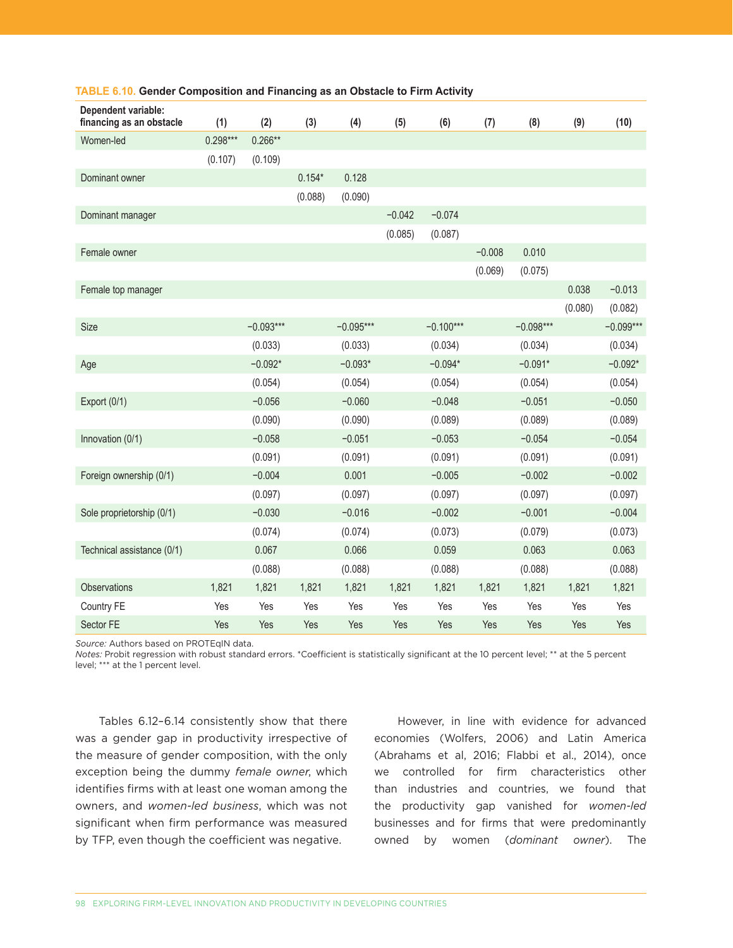| Dependent variable:<br>financing as an obstacle | (1)        | (2)         | (3)      | (4)         | (5)      | (6)         | (7)      | (8)         | (9)     | (10)        |
|-------------------------------------------------|------------|-------------|----------|-------------|----------|-------------|----------|-------------|---------|-------------|
| Women-led                                       | $0.298***$ | $0.266**$   |          |             |          |             |          |             |         |             |
|                                                 | (0.107)    | (0.109)     |          |             |          |             |          |             |         |             |
| Dominant owner                                  |            |             | $0.154*$ | 0.128       |          |             |          |             |         |             |
|                                                 |            |             | (0.088)  | (0.090)     |          |             |          |             |         |             |
| Dominant manager                                |            |             |          |             | $-0.042$ | $-0.074$    |          |             |         |             |
|                                                 |            |             |          |             | (0.085)  | (0.087)     |          |             |         |             |
| Female owner                                    |            |             |          |             |          |             | $-0.008$ | 0.010       |         |             |
|                                                 |            |             |          |             |          |             | (0.069)  | (0.075)     |         |             |
| Female top manager                              |            |             |          |             |          |             |          |             | 0.038   | $-0.013$    |
|                                                 |            |             |          |             |          |             |          |             | (0.080) | (0.082)     |
| <b>Size</b>                                     |            | $-0.093***$ |          | $-0.095***$ |          | $-0.100***$ |          | $-0.098***$ |         | $-0.099***$ |
|                                                 |            | (0.033)     |          | (0.033)     |          | (0.034)     |          | (0.034)     |         | (0.034)     |
| Age                                             |            | $-0.092*$   |          | $-0.093*$   |          | $-0.094*$   |          | $-0.091*$   |         | $-0.092*$   |
|                                                 |            | (0.054)     |          | (0.054)     |          | (0.054)     |          | (0.054)     |         | (0.054)     |
| Export $(0/1)$                                  |            | $-0.056$    |          | $-0.060$    |          | $-0.048$    |          | $-0.051$    |         | $-0.050$    |
|                                                 |            | (0.090)     |          | (0.090)     |          | (0.089)     |          | (0.089)     |         | (0.089)     |
| Innovation (0/1)                                |            | $-0.058$    |          | $-0.051$    |          | $-0.053$    |          | $-0.054$    |         | $-0.054$    |
|                                                 |            | (0.091)     |          | (0.091)     |          | (0.091)     |          | (0.091)     |         | (0.091)     |
| Foreign ownership (0/1)                         |            | $-0.004$    |          | 0.001       |          | $-0.005$    |          | $-0.002$    |         | $-0.002$    |
|                                                 |            | (0.097)     |          | (0.097)     |          | (0.097)     |          | (0.097)     |         | (0.097)     |
| Sole proprietorship (0/1)                       |            | $-0.030$    |          | $-0.016$    |          | $-0.002$    |          | $-0.001$    |         | $-0.004$    |
|                                                 |            | (0.074)     |          | (0.074)     |          | (0.073)     |          | (0.079)     |         | (0.073)     |
| Technical assistance (0/1)                      |            | 0.067       |          | 0.066       |          | 0.059       |          | 0.063       |         | 0.063       |
|                                                 |            | (0.088)     |          | (0.088)     |          | (0.088)     |          | (0.088)     |         | (0.088)     |
| Observations                                    | 1,821      | 1,821       | 1,821    | 1,821       | 1,821    | 1,821       | 1,821    | 1,821       | 1,821   | 1,821       |
| Country FE                                      | Yes        | Yes         | Yes      | Yes         | Yes      | Yes         | Yes      | Yes         | Yes     | Yes         |
| Sector FE                                       | Yes        | Yes         | Yes      | Yes         | Yes      | Yes         | Yes      | Yes         | Yes     | Yes         |

#### **TABLE 6.10. Gender Composition and Financing as an Obstacle to Firm Activity**

*Source:* Authors based on PROTEqIN data.

*Notes:* Probit regression with robust standard errors. \*Coefficient is statistically significant at the 10 percent level; \*\* at the 5 percent level; \*\*\* at the 1 percent level.

Tables 6.12–6.14 consistently show that there was a gender gap in productivity irrespective of the measure of gender composition, with the only exception being the dummy *female owner*, which identifies firms with at least one woman among the owners, and *women-led business*, which was not significant when firm performance was measured by TFP, even though the coefficient was negative.

However, in line with evidence for advanced economies (Wolfers, 2006) and Latin America (Abrahams et al, 2016; Flabbi et al., 2014), once we controlled for firm characteristics other than industries and countries, we found that the productivity gap vanished for *women-led* businesses and for firms that were predominantly owned by women (*dominant owner*). The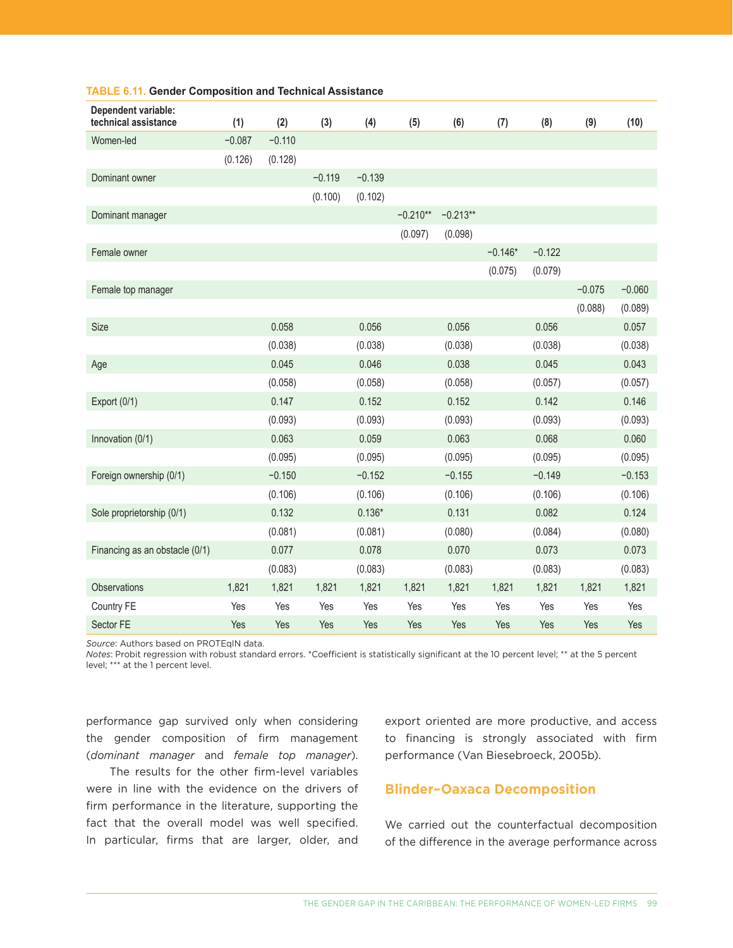| Dependent variable:<br>technical assistance | (1)      | (2)      | (3)      | (4)      | (5)        | (6)        | (7)       | (8)      | (9)      | (10)     |
|---------------------------------------------|----------|----------|----------|----------|------------|------------|-----------|----------|----------|----------|
| Women-led                                   | $-0.087$ | $-0.110$ |          |          |            |            |           |          |          |          |
|                                             | (0.126)  | (0.128)  |          |          |            |            |           |          |          |          |
| Dominant owner                              |          |          | $-0.119$ | $-0.139$ |            |            |           |          |          |          |
|                                             |          |          | (0.100)  | (0.102)  |            |            |           |          |          |          |
| Dominant manager                            |          |          |          |          | $-0.210**$ | $-0.213**$ |           |          |          |          |
|                                             |          |          |          |          | (0.097)    | (0.098)    |           |          |          |          |
| Female owner                                |          |          |          |          |            |            | $-0.146*$ | $-0.122$ |          |          |
|                                             |          |          |          |          |            |            | (0.075)   | (0.079)  |          |          |
| Female top manager                          |          |          |          |          |            |            |           |          | $-0.075$ | $-0.060$ |
|                                             |          |          |          |          |            |            |           |          | (0.088)  | (0.089)  |
| Size                                        |          | 0.058    |          | 0.056    |            | 0.056      |           | 0.056    |          | 0.057    |
|                                             |          | (0.038)  |          | (0.038)  |            | (0.038)    |           | (0.038)  |          | (0.038)  |
| Age                                         |          | 0.045    |          | 0.046    |            | 0.038      |           | 0.045    |          | 0.043    |
|                                             |          | (0.058)  |          | (0.058)  |            | (0.058)    |           | (0.057)  |          | (0.057)  |
| Export (0/1)                                |          | 0.147    |          | 0.152    |            | 0.152      |           | 0.142    |          | 0.146    |
|                                             |          | (0.093)  |          | (0.093)  |            | (0.093)    |           | (0.093)  |          | (0.093)  |
| Innovation (0/1)                            |          | 0.063    |          | 0.059    |            | 0.063      |           | 0.068    |          | 0.060    |
|                                             |          | (0.095)  |          | (0.095)  |            | (0.095)    |           | (0.095)  |          | (0.095)  |
| Foreign ownership (0/1)                     |          | $-0.150$ |          | $-0.152$ |            | $-0.155$   |           | $-0.149$ |          | $-0.153$ |
|                                             |          | (0.106)  |          | (0.106)  |            | (0.106)    |           | (0.106)  |          | (0.106)  |
| Sole proprietorship (0/1)                   |          | 0.132    |          | $0.136*$ |            | 0.131      |           | 0.082    |          | 0.124    |
|                                             |          | (0.081)  |          | (0.081)  |            | (0.080)    |           | (0.084)  |          | (0.080)  |
| Financing as an obstacle (0/1)              |          | 0.077    |          | 0.078    |            | 0.070      |           | 0.073    |          | 0.073    |
|                                             |          | (0.083)  |          | (0.083)  |            | (0.083)    |           | (0.083)  |          | (0.083)  |
| Observations                                | 1,821    | 1,821    | 1,821    | 1,821    | 1,821      | 1,821      | 1,821     | 1,821    | 1,821    | 1,821    |
| Country FE                                  | Yes      | Yes      | Yes      | Yes      | Yes        | Yes        | Yes       | Yes      | Yes      | Yes      |
| Sector FE                                   | Yes      | Yes      | Yes      | Yes      | Yes        | Yes        | Yes       | Yes      | Yes      | Yes      |

#### **TABLE 6.11. Gender Composition and Technical Assistance**

*Source*: Authors based on PROTEqIN data.

*Notes*: Probit regression with robust standard errors. \*Coefficient is statistically significant at the 10 percent level; \*\* at the 5 percent level; \*\*\* at the 1 percent level.

performance gap survived only when considering the gender composition of firm management (*dominant manager* and *female top manager*).

The results for the other firm-level variables were in line with the evidence on the drivers of firm performance in the literature, supporting the fact that the overall model was well specified. In particular, firms that are larger, older, and export oriented are more productive, and access to financing is strongly associated with firm performance (Van Biesebroeck, 2005b).

# **Blinder–Oaxaca Decomposition**

We carried out the counterfactual decomposition of the difference in the average performance across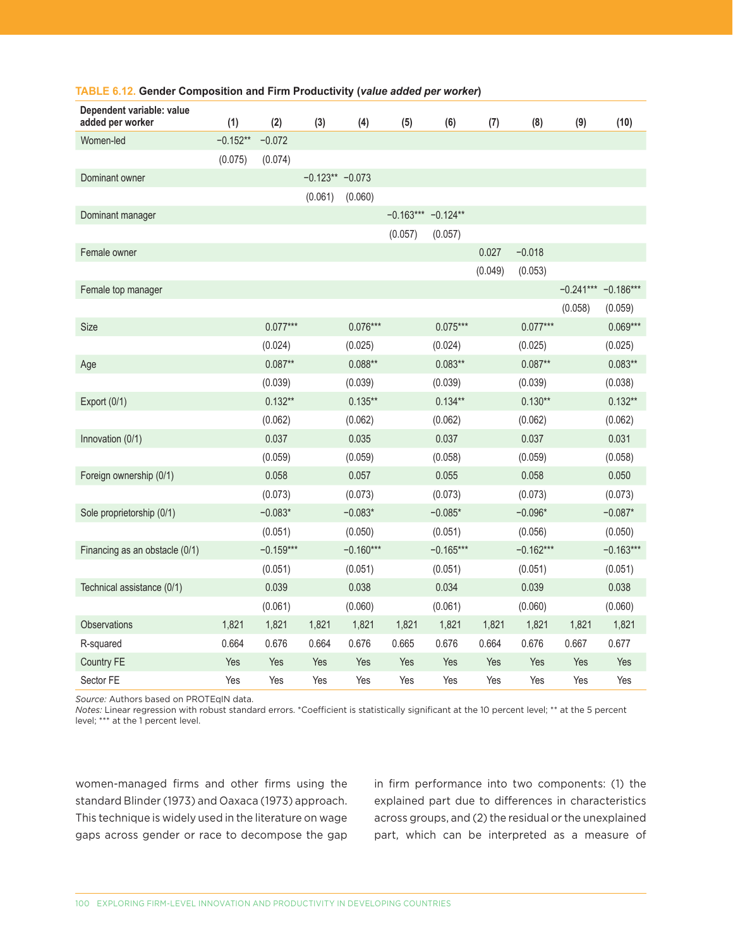| Dependent variable: value<br>added per worker | (1)        | (2)         | (3)               | (4)         | (5)     | (6)                  | (7)     | (8)         | (9)     | (10)                  |
|-----------------------------------------------|------------|-------------|-------------------|-------------|---------|----------------------|---------|-------------|---------|-----------------------|
| Women-led                                     | $-0.152**$ | $-0.072$    |                   |             |         |                      |         |             |         |                       |
|                                               | (0.075)    | (0.074)     |                   |             |         |                      |         |             |         |                       |
| Dominant owner                                |            |             | $-0.123** -0.073$ |             |         |                      |         |             |         |                       |
|                                               |            |             | (0.061)           | (0.060)     |         |                      |         |             |         |                       |
| Dominant manager                              |            |             |                   |             |         | $-0.163***$ -0.124** |         |             |         |                       |
|                                               |            |             |                   |             | (0.057) | (0.057)              |         |             |         |                       |
| Female owner                                  |            |             |                   |             |         |                      | 0.027   | $-0.018$    |         |                       |
|                                               |            |             |                   |             |         |                      | (0.049) | (0.053)     |         |                       |
| Female top manager                            |            |             |                   |             |         |                      |         |             |         | $-0.241***$ -0.186*** |
|                                               |            |             |                   |             |         |                      |         |             | (0.058) | (0.059)               |
| Size                                          |            | $0.077***$  |                   | $0.076***$  |         | $0.075***$           |         | $0.077***$  |         | $0.069***$            |
|                                               |            | (0.024)     |                   | (0.025)     |         | (0.024)              |         | (0.025)     |         | (0.025)               |
| Age                                           |            | $0.087**$   |                   | $0.088**$   |         | $0.083**$            |         | $0.087**$   |         | $0.083**$             |
|                                               |            | (0.039)     |                   | (0.039)     |         | (0.039)              |         | (0.039)     |         | (0.038)               |
| Export (0/1)                                  |            | $0.132**$   |                   | $0.135***$  |         | $0.134**$            |         | $0.130**$   |         | $0.132**$             |
|                                               |            | (0.062)     |                   | (0.062)     |         | (0.062)              |         | (0.062)     |         | (0.062)               |
| Innovation (0/1)                              |            | 0.037       |                   | 0.035       |         | 0.037                |         | 0.037       |         | 0.031                 |
|                                               |            | (0.059)     |                   | (0.059)     |         | (0.058)              |         | (0.059)     |         | (0.058)               |
| Foreign ownership (0/1)                       |            | 0.058       |                   | 0.057       |         | 0.055                |         | 0.058       |         | 0.050                 |
|                                               |            | (0.073)     |                   | (0.073)     |         | (0.073)              |         | (0.073)     |         | (0.073)               |
| Sole proprietorship (0/1)                     |            | $-0.083*$   |                   | $-0.083*$   |         | $-0.085*$            |         | $-0.096*$   |         | $-0.087*$             |
|                                               |            | (0.051)     |                   | (0.050)     |         | (0.051)              |         | (0.056)     |         | (0.050)               |
| Financing as an obstacle (0/1)                |            | $-0.159***$ |                   | $-0.160***$ |         | $-0.165***$          |         | $-0.162***$ |         | $-0.163***$           |
|                                               |            | (0.051)     |                   | (0.051)     |         | (0.051)              |         | (0.051)     |         | (0.051)               |
| Technical assistance (0/1)                    |            | 0.039       |                   | 0.038       |         | 0.034                |         | 0.039       |         | 0.038                 |
|                                               |            | (0.061)     |                   | (0.060)     |         | (0.061)              |         | (0.060)     |         | (0.060)               |
| Observations                                  | 1,821      | 1,821       | 1,821             | 1,821       | 1,821   | 1,821                | 1,821   | 1,821       | 1,821   | 1,821                 |
| R-squared                                     | 0.664      | 0.676       | 0.664             | 0.676       | 0.665   | 0.676                | 0.664   | 0.676       | 0.667   | 0.677                 |
| Country FE                                    | Yes        | Yes         | Yes               | Yes         | Yes     | Yes                  | Yes     | Yes         | Yes     | Yes                   |
| Sector FE                                     | Yes        | Yes         | Yes               | Yes         | Yes     | Yes                  | Yes     | Yes         | Yes     | Yes                   |

#### **TABLE 6.12. Gender Composition and Firm Productivity (***value added per worker***)**

*Source:* Authors based on PROTEqIN data.

*Notes:* Linear regression with robust standard errors. \*Coefficient is statistically significant at the 10 percent level; \*\* at the 5 percent level; \*\*\* at the 1 percent level.

women-managed firms and other firms using the standard Blinder (1973) and Oaxaca (1973) approach. This technique is widely used in the literature on wage gaps across gender or race to decompose the gap

in firm performance into two components: (1) the explained part due to differences in characteristics across groups, and (2) the residual or the unexplained part, which can be interpreted as a measure of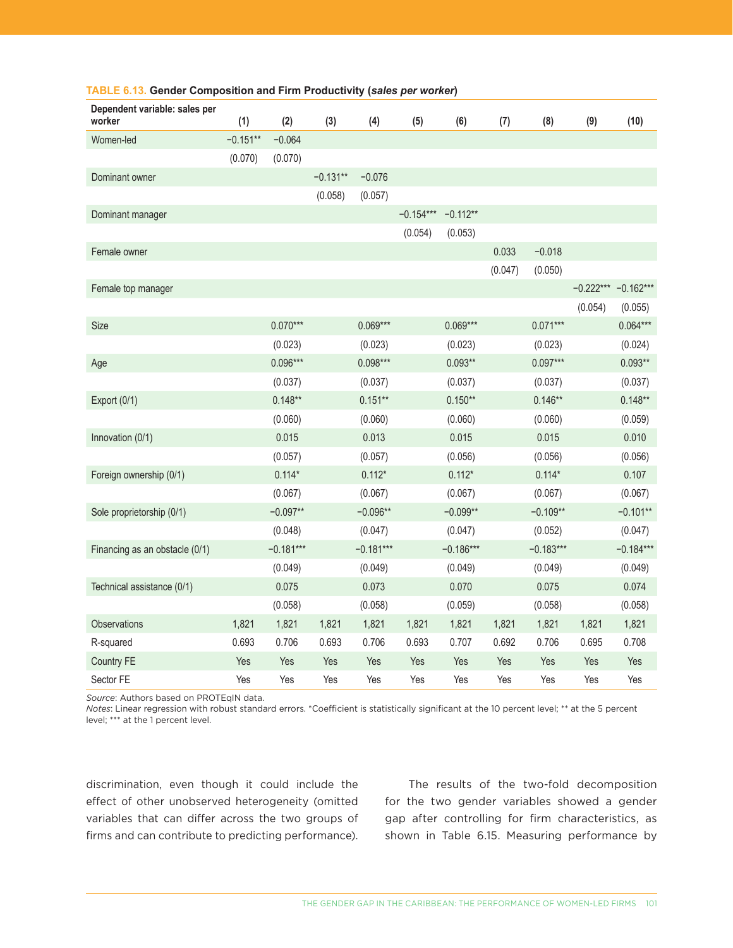| Dependent variable: sales per<br>worker | (1)        | (2)         | (3)        | (4)         | (5)         | (6)         | (7)     | (8)         | (9)     | (10)                  |
|-----------------------------------------|------------|-------------|------------|-------------|-------------|-------------|---------|-------------|---------|-----------------------|
| Women-led                               | $-0.151**$ | $-0.064$    |            |             |             |             |         |             |         |                       |
|                                         | (0.070)    | (0.070)     |            |             |             |             |         |             |         |                       |
| Dominant owner                          |            |             | $-0.131**$ | $-0.076$    |             |             |         |             |         |                       |
|                                         |            |             | (0.058)    | (0.057)     |             |             |         |             |         |                       |
| Dominant manager                        |            |             |            |             | $-0.154***$ | $-0.112**$  |         |             |         |                       |
|                                         |            |             |            |             | (0.054)     | (0.053)     |         |             |         |                       |
| Female owner                            |            |             |            |             |             |             | 0.033   | $-0.018$    |         |                       |
|                                         |            |             |            |             |             |             | (0.047) | (0.050)     |         |                       |
| Female top manager                      |            |             |            |             |             |             |         |             |         | $-0.222***$ -0.162*** |
|                                         |            |             |            |             |             |             |         |             | (0.054) | (0.055)               |
| <b>Size</b>                             |            | $0.070***$  |            | $0.069***$  |             | $0.069***$  |         | $0.071***$  |         | $0.064***$            |
|                                         |            | (0.023)     |            | (0.023)     |             | (0.023)     |         | (0.023)     |         | (0.024)               |
| Age                                     |            | $0.096***$  |            | $0.098***$  |             | $0.093**$   |         | $0.097***$  |         | $0.093**$             |
|                                         |            | (0.037)     |            | (0.037)     |             | (0.037)     |         | (0.037)     |         | (0.037)               |
| Export (0/1)                            |            | $0.148**$   |            | $0.151**$   |             | $0.150**$   |         | $0.146**$   |         | $0.148**$             |
|                                         |            | (0.060)     |            | (0.060)     |             | (0.060)     |         | (0.060)     |         | (0.059)               |
| Innovation (0/1)                        |            | 0.015       |            | 0.013       |             | 0.015       |         | 0.015       |         | 0.010                 |
|                                         |            | (0.057)     |            | (0.057)     |             | (0.056)     |         | (0.056)     |         | (0.056)               |
| Foreign ownership (0/1)                 |            | $0.114*$    |            | $0.112*$    |             | $0.112*$    |         | $0.114*$    |         | 0.107                 |
|                                         |            | (0.067)     |            | (0.067)     |             | (0.067)     |         | (0.067)     |         | (0.067)               |
| Sole proprietorship (0/1)               |            | $-0.097**$  |            | $-0.096**$  |             | $-0.099**$  |         | $-0.109**$  |         | $-0.101**$            |
|                                         |            | (0.048)     |            | (0.047)     |             | (0.047)     |         | (0.052)     |         | (0.047)               |
| Financing as an obstacle (0/1)          |            | $-0.181***$ |            | $-0.181***$ |             | $-0.186***$ |         | $-0.183***$ |         | $-0.184***$           |
|                                         |            | (0.049)     |            | (0.049)     |             | (0.049)     |         | (0.049)     |         | (0.049)               |
| Technical assistance (0/1)              |            | 0.075       |            | 0.073       |             | 0.070       |         | 0.075       |         | 0.074                 |
|                                         |            | (0.058)     |            | (0.058)     |             | (0.059)     |         | (0.058)     |         | (0.058)               |
| Observations                            | 1,821      | 1,821       | 1,821      | 1,821       | 1,821       | 1,821       | 1,821   | 1,821       | 1,821   | 1,821                 |
| R-squared                               | 0.693      | 0.706       | 0.693      | 0.706       | 0.693       | 0.707       | 0.692   | 0.706       | 0.695   | 0.708                 |
| <b>Country FE</b>                       | Yes        | Yes         | Yes        | Yes         | Yes         | Yes         | Yes     | Yes         | Yes     | Yes                   |
| Sector FE                               | Yes        | Yes         | Yes        | Yes         | Yes         | Yes         | Yes     | Yes         | Yes     | Yes                   |

#### **TABLE 6.13. Gender Composition and Firm Productivity (***sales per worker***)**

*Source*: Authors based on PROTEqIN data.

*Notes*: Linear regression with robust standard errors. \*Coefficient is statistically significant at the 10 percent level; \*\* at the 5 percent level; \*\*\* at the 1 percent level.

discrimination, even though it could include the effect of other unobserved heterogeneity (omitted variables that can differ across the two groups of firms and can contribute to predicting performance).

The results of the two-fold decomposition for the two gender variables showed a gender gap after controlling for firm characteristics, as shown in Table 6.15. Measuring performance by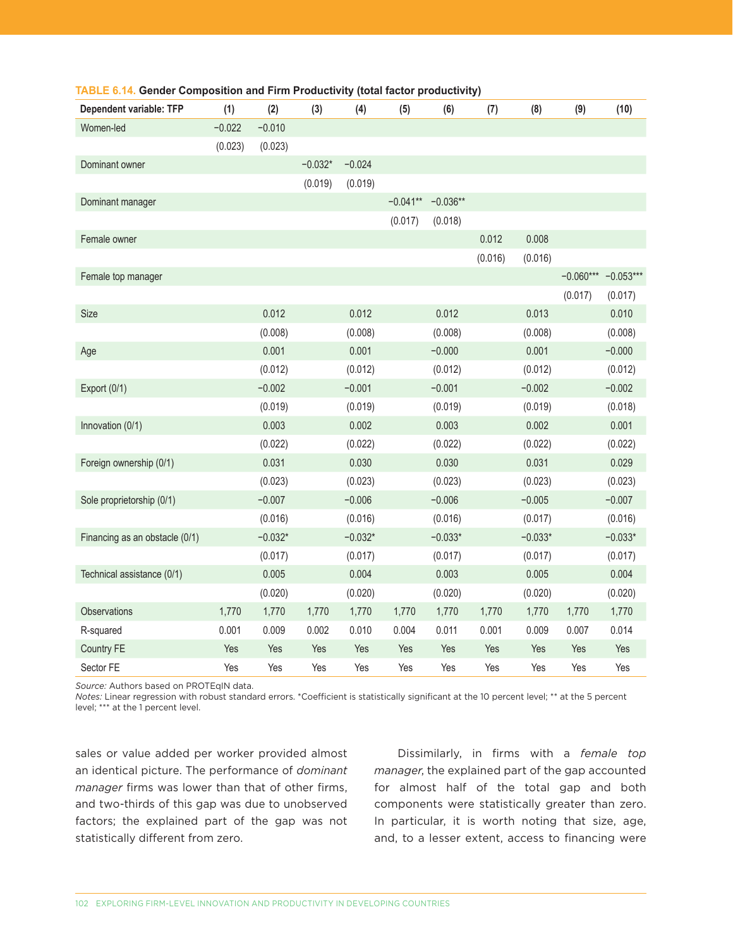| <b>Dependent variable: TFP</b> | (1)      | (2)       | (3)       | (4)       | (5)        | (6)        | (7)     | (8)       | (9)         | (10)        |
|--------------------------------|----------|-----------|-----------|-----------|------------|------------|---------|-----------|-------------|-------------|
| Women-led                      | $-0.022$ | $-0.010$  |           |           |            |            |         |           |             |             |
|                                | (0.023)  | (0.023)   |           |           |            |            |         |           |             |             |
| Dominant owner                 |          |           | $-0.032*$ | $-0.024$  |            |            |         |           |             |             |
|                                |          |           | (0.019)   | (0.019)   |            |            |         |           |             |             |
| Dominant manager               |          |           |           |           | $-0.041**$ | $-0.036**$ |         |           |             |             |
|                                |          |           |           |           | (0.017)    | (0.018)    |         |           |             |             |
| Female owner                   |          |           |           |           |            |            | 0.012   | 0.008     |             |             |
|                                |          |           |           |           |            |            | (0.016) | (0.016)   |             |             |
| Female top manager             |          |           |           |           |            |            |         |           | $-0.060***$ | $-0.053***$ |
|                                |          |           |           |           |            |            |         |           | (0.017)     | (0.017)     |
| Size                           |          | 0.012     |           | 0.012     |            | 0.012      |         | 0.013     |             | 0.010       |
|                                |          | (0.008)   |           | (0.008)   |            | (0.008)    |         | (0.008)   |             | (0.008)     |
| Age                            |          | 0.001     |           | 0.001     |            | $-0.000$   |         | 0.001     |             | $-0.000$    |
|                                |          | (0.012)   |           | (0.012)   |            | (0.012)    |         | (0.012)   |             | (0.012)     |
| Export (0/1)                   |          | $-0.002$  |           | $-0.001$  |            | $-0.001$   |         | $-0.002$  |             | $-0.002$    |
|                                |          | (0.019)   |           | (0.019)   |            | (0.019)    |         | (0.019)   |             | (0.018)     |
| Innovation (0/1)               |          | 0.003     |           | 0.002     |            | 0.003      |         | 0.002     |             | 0.001       |
|                                |          | (0.022)   |           | (0.022)   |            | (0.022)    |         | (0.022)   |             | (0.022)     |
| Foreign ownership (0/1)        |          | 0.031     |           | 0.030     |            | 0.030      |         | 0.031     |             | 0.029       |
|                                |          | (0.023)   |           | (0.023)   |            | (0.023)    |         | (0.023)   |             | (0.023)     |
| Sole proprietorship (0/1)      |          | $-0.007$  |           | $-0.006$  |            | $-0.006$   |         | $-0.005$  |             | $-0.007$    |
|                                |          | (0.016)   |           | (0.016)   |            | (0.016)    |         | (0.017)   |             | (0.016)     |
| Financing as an obstacle (0/1) |          | $-0.032*$ |           | $-0.032*$ |            | $-0.033*$  |         | $-0.033*$ |             | $-0.033*$   |
|                                |          | (0.017)   |           | (0.017)   |            | (0.017)    |         | (0.017)   |             | (0.017)     |
| Technical assistance (0/1)     |          | 0.005     |           | 0.004     |            | 0.003      |         | 0.005     |             | 0.004       |
|                                |          | (0.020)   |           | (0.020)   |            | (0.020)    |         | (0.020)   |             | (0.020)     |
| Observations                   | 1,770    | 1,770     | 1,770     | 1,770     | 1,770      | 1,770      | 1,770   | 1,770     | 1,770       | 1,770       |
| R-squared                      | 0.001    | 0.009     | 0.002     | 0.010     | 0.004      | 0.011      | 0.001   | 0.009     | 0.007       | 0.014       |
| Country FE                     | Yes      | Yes       | Yes       | Yes       | Yes        | Yes        | Yes     | Yes       | Yes         | Yes         |
| Sector FE                      | Yes      | Yes       | Yes       | Yes       | Yes        | Yes        | Yes     | Yes       | Yes         | Yes         |

#### **TABLE 6.14. Gender Composition and Firm Productivity (total factor productivity)**

*Source:* Authors based on PROTEqIN data.

*Notes:* Linear regression with robust standard errors. \*Coefficient is statistically significant at the 10 percent level; \*\* at the 5 percent level; \*\*\* at the 1 percent level.

sales or value added per worker provided almost an identical picture. The performance of *dominant manager* firms was lower than that of other firms, and two-thirds of this gap was due to unobserved factors; the explained part of the gap was not statistically different from zero.

Dissimilarly, in firms with a *female top manager*, the explained part of the gap accounted for almost half of the total gap and both components were statistically greater than zero. In particular, it is worth noting that size, age, and, to a lesser extent, access to financing were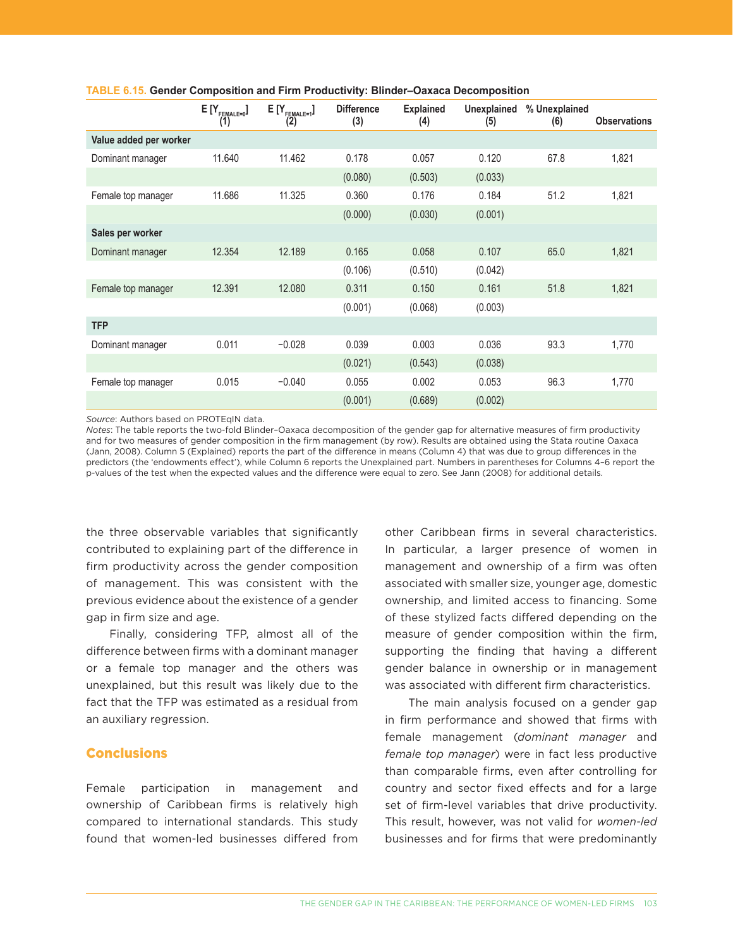|                        | $E[Y_{FEMALE=0}]$<br>(1) | $E[Y_{FEMALE=1}]$<br>(2) | <b>Difference</b><br>(3) | <b>Explained</b><br>(4) | <b>Unexplained</b><br>(5) | % Unexplained<br>(6) | <b>Observations</b> |
|------------------------|--------------------------|--------------------------|--------------------------|-------------------------|---------------------------|----------------------|---------------------|
| Value added per worker |                          |                          |                          |                         |                           |                      |                     |
| Dominant manager       | 11.640                   | 11.462                   | 0.178                    | 0.057                   | 0.120                     | 67.8                 | 1,821               |
|                        |                          |                          | (0.080)                  | (0.503)                 | (0.033)                   |                      |                     |
| Female top manager     | 11.686                   | 11.325                   | 0.360                    | 0.176                   | 0.184                     | 51.2                 | 1,821               |
|                        |                          |                          | (0.000)                  | (0.030)                 | (0.001)                   |                      |                     |
| Sales per worker       |                          |                          |                          |                         |                           |                      |                     |
| Dominant manager       | 12.354                   | 12.189                   | 0.165                    | 0.058                   | 0.107                     | 65.0                 | 1,821               |
|                        |                          |                          | (0.106)                  | (0.510)                 | (0.042)                   |                      |                     |
| Female top manager     | 12.391                   | 12.080                   | 0.311                    | 0.150                   | 0.161                     | 51.8                 | 1,821               |
|                        |                          |                          | (0.001)                  | (0.068)                 | (0.003)                   |                      |                     |
| <b>TFP</b>             |                          |                          |                          |                         |                           |                      |                     |
| Dominant manager       | 0.011                    | $-0.028$                 | 0.039                    | 0.003                   | 0.036                     | 93.3                 | 1,770               |
|                        |                          |                          | (0.021)                  | (0.543)                 | (0.038)                   |                      |                     |
| Female top manager     | 0.015                    | $-0.040$                 | 0.055                    | 0.002                   | 0.053                     | 96.3                 | 1,770               |
|                        |                          |                          | (0.001)                  | (0.689)                 | (0.002)                   |                      |                     |

#### **TABLE 6.15. Gender Composition and Firm Productivity: Blinder–Oaxaca Decomposition**

*Source:* Authors based on PROTEqIN data.

*Notes*: The table reports the two-fold Blinder–Oaxaca decomposition of the gender gap for alternative measures of firm productivity and for two measures of gender composition in the firm management (by row). Results are obtained using the Stata routine Oaxaca (Jann, 2008). Column 5 (Explained) reports the part of the difference in means (Column 4) that was due to group differences in the predictors (the 'endowments effect'), while Column 6 reports the Unexplained part. Numbers in parentheses for Columns 4–6 report the p-values of the test when the expected values and the difference were equal to zero. See Jann (2008) for additional details.

the three observable variables that significantly contributed to explaining part of the difference in firm productivity across the gender composition of management. This was consistent with the previous evidence about the existence of a gender gap in firm size and age.

Finally, considering TFP, almost all of the difference between firms with a dominant manager or a female top manager and the others was unexplained, but this result was likely due to the fact that the TFP was estimated as a residual from an auxiliary regression.

## **Conclusions**

Female participation in management and ownership of Caribbean firms is relatively high compared to international standards. This study found that women-led businesses differed from other Caribbean firms in several characteristics. In particular, a larger presence of women in management and ownership of a firm was often associated with smaller size, younger age, domestic ownership, and limited access to financing. Some of these stylized facts differed depending on the measure of gender composition within the firm, supporting the finding that having a different gender balance in ownership or in management was associated with different firm characteristics.

The main analysis focused on a gender gap in firm performance and showed that firms with female management (*dominant manager* and *female top manager*) were in fact less productive than comparable firms, even after controlling for country and sector fixed effects and for a large set of firm-level variables that drive productivity. This result, however, was not valid for *women-led* businesses and for firms that were predominantly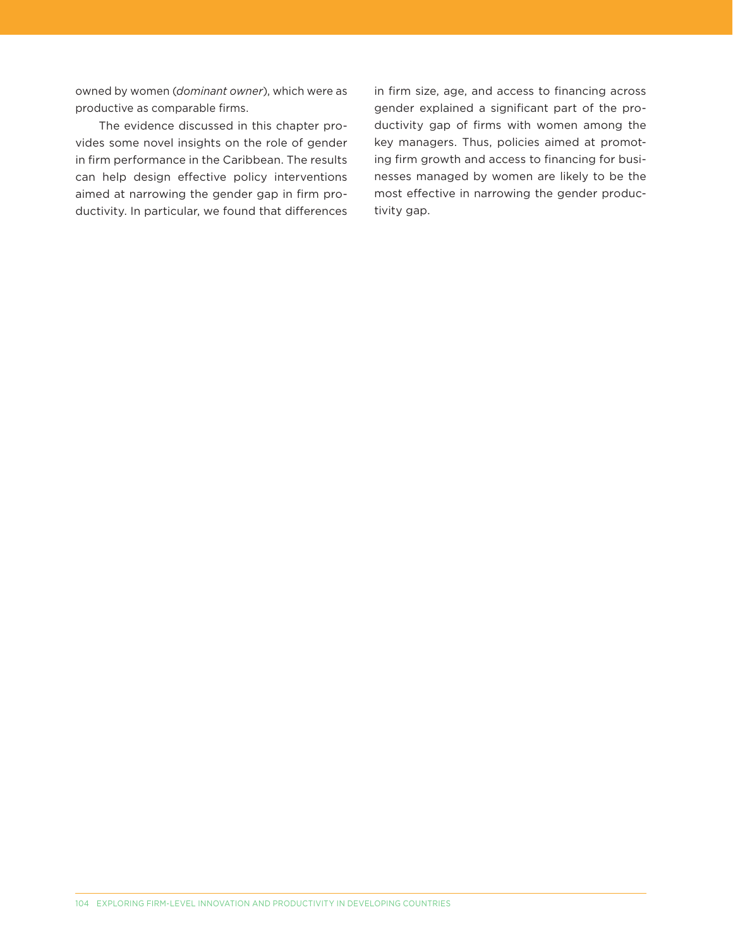owned by women (*dominant owner*), which were as productive as comparable firms.

The evidence discussed in this chapter provides some novel insights on the role of gender in firm performance in the Caribbean. The results can help design effective policy interventions aimed at narrowing the gender gap in firm productivity. In particular, we found that differences in firm size, age, and access to financing across gender explained a significant part of the productivity gap of firms with women among the key managers. Thus, policies aimed at promoting firm growth and access to financing for businesses managed by women are likely to be the most effective in narrowing the gender productivity gap.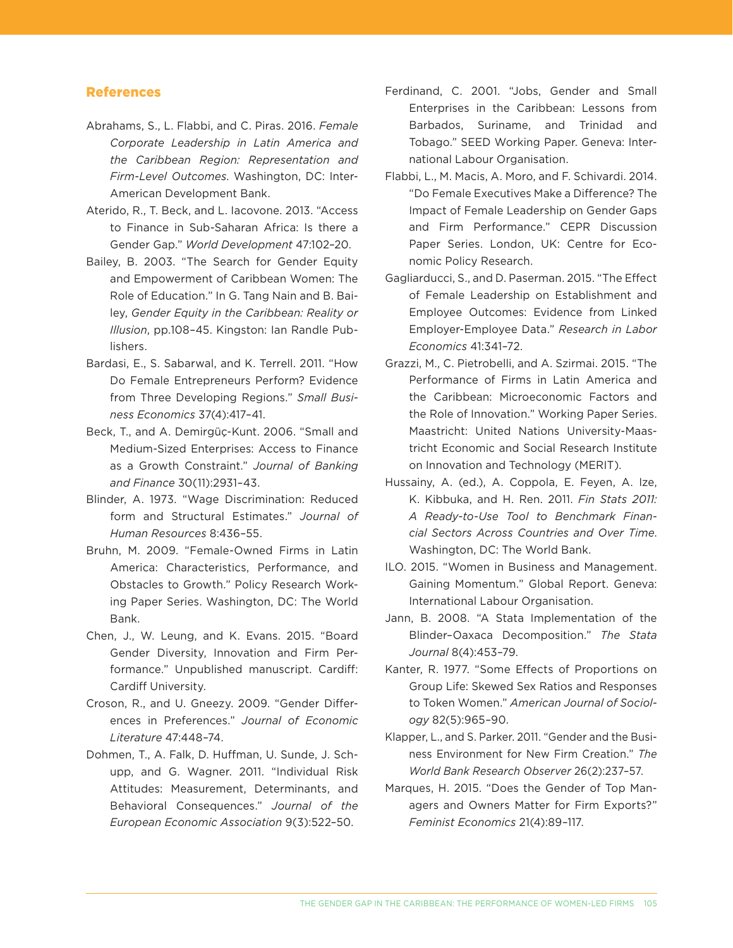### References

- Abrahams, S., L. Flabbi, and C. Piras. 2016. *Female Corporate Leadership in Latin America and the Caribbean Region: Representation and Firm-Level Outcomes*. Washington, DC: Inter-American Development Bank.
- Aterido, R., T. Beck, and L. Iacovone. 2013. "Access to Finance in Sub-Saharan Africa: Is there a Gender Gap." *World Development* 47:102–20.
- Bailey, B. 2003. "The Search for Gender Equity and Empowerment of Caribbean Women: The Role of Education." In G. Tang Nain and B. Bailey, *Gender Equity in the Caribbean: Reality or Illusion*, pp.108–45. Kingston: Ian Randle Publishers.
- Bardasi, E., S. Sabarwal, and K. Terrell. 2011. "How Do Female Entrepreneurs Perform? Evidence from Three Developing Regions." *Small Business Economics* 37(4):417–41.
- Beck, T., and A. Demirgüç-Kunt. 2006. "Small and Medium-Sized Enterprises: Access to Finance as a Growth Constraint." *Journal of Banking and Finance* 30(11):2931–43.
- Blinder, A. 1973. "Wage Discrimination: Reduced form and Structural Estimates." *Journal of Human Resources* 8:436–55.
- Bruhn, M. 2009. "Female-Owned Firms in Latin America: Characteristics, Performance, and Obstacles to Growth." Policy Research Working Paper Series. Washington, DC: The World Bank.
- Chen, J., W. Leung, and K. Evans. 2015. "Board Gender Diversity, Innovation and Firm Performance." Unpublished manuscript. Cardiff: Cardiff University.
- Croson, R., and U. Gneezy. 2009. "Gender Differences in Preferences." *Journal of Economic Literature* 47:448–74.
- Dohmen, T., A. Falk, D. Huffman, U. Sunde, J. Schupp, and G. Wagner. 2011. "Individual Risk Attitudes: Measurement, Determinants, and Behavioral Consequences." *Journal of the European Economic Association* 9(3):522–50.
- Ferdinand, C. 2001. "Jobs, Gender and Small Enterprises in the Caribbean: Lessons from Barbados, Suriname, and Trinidad and Tobago." SEED Working Paper. Geneva: International Labour Organisation.
- Flabbi, L., M. Macis, A. Moro, and F. Schivardi. 2014. "Do Female Executives Make a Difference? The Impact of Female Leadership on Gender Gaps and Firm Performance." CEPR Discussion Paper Series. London, UK: Centre for Economic Policy Research.
- Gagliarducci, S., and D. Paserman. 2015. "The Effect of Female Leadership on Establishment and Employee Outcomes: Evidence from Linked Employer-Employee Data." *Research in Labor Economics* 41:341–72.
- Grazzi, M., C. Pietrobelli, and A. Szirmai. 2015. "The Performance of Firms in Latin America and the Caribbean: Microeconomic Factors and the Role of Innovation." Working Paper Series. Maastricht: United Nations University-Maastricht Economic and Social Research Institute on Innovation and Technology (MERIT).
- Hussainy, A. (ed.), A. Coppola, E. Feyen, A. Ize, K. Kibbuka, and H. Ren. 2011. *Fin Stats 2011: A Ready-to-Use Tool to Benchmark Financial Sectors Across Countries and Over Time*. Washington, DC: The World Bank.
- ILO. 2015. "Women in Business and Management. Gaining Momentum." Global Report. Geneva: International Labour Organisation.
- Jann, B. 2008. "A Stata Implementation of the Blinder–Oaxaca Decomposition." *The Stata Journal* 8(4):453–79.
- Kanter, R. 1977. "Some Effects of Proportions on Group Life: Skewed Sex Ratios and Responses to Token Women." *American Journal of Sociology* 82(5):965–90.
- Klapper, L., and S. Parker. 2011. "Gender and the Business Environment for New Firm Creation." *The World Bank Research Observer* 26(2):237–57.
- Marques, H. 2015. "Does the Gender of Top Managers and Owners Matter for Firm Exports?" *Feminist Economics* 21(4):89–117.